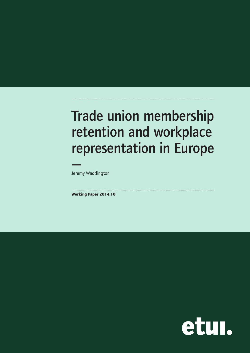# Trade union membership retention and workplace representation in Europe

.....................................................................................................................................

.....................................................................................................................................

Jeremy Waddington

**Working Paper 2014.10**

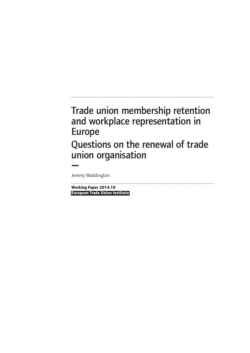# Trade union membership retention and workplace representation in Europe Questions on the renewal of trade union organisation –

Jeremy Waddington

**Working Paper 2014.10 European Trade Union Institute**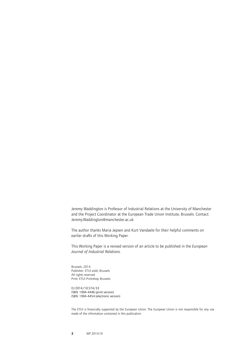Jeremy Waddington is Professor of Industrial Relations at the University of Manchester and the Project Coordinator at the European Trade Union Institute, Brussels. Contact: Jeremy.Waddington@manchester.ac.uk

The author thanks Maria Jepsen and Kurt Vandaele for their helpful comments on earlier drafts of this Working Paper.

This Working Paper is a revised version of an article to be published in the *European Journal of Industrial Relations*.

Brussels, 2014 Publisher: ETUI aisbl, Brussels All rights reserved Print: ETUI Printshop, Brussels

D/2014/10.574/33 ISBN: 1994-4446 (print version) ISBN: 1994-4454 (electronic version)

The ETUI is financially supported by the European Union. The European Union is not responsible for any use made of the information contained in this publication.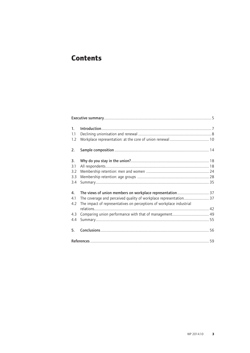# **Contents**

| 1.<br>1.1<br>1.2                                                                                                                                              |  |
|---------------------------------------------------------------------------------------------------------------------------------------------------------------|--|
| 2.                                                                                                                                                            |  |
| 3.<br>3.1<br>3.2<br>3.3<br>3.4                                                                                                                                |  |
| 4.<br>The coverage and perceived quality of workplace representation 37<br>4.1<br>The impact of representatives on perceptions of workplace industrial<br>4.2 |  |
| 4.3<br>4.4                                                                                                                                                    |  |
| 5.                                                                                                                                                            |  |
|                                                                                                                                                               |  |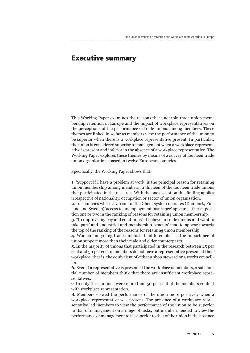# **Executive summary**

This Working Paper examines the reasons that underpin trade union membership retention in Europe and the impact of workplace representatives on the perceptions of the performance of trade unions among members. These themes are linked in so far as members view the performance of the union to be superior when there is a workplace representative present. In particular, the union is considered superior to management when a workplace representative is present and inferior in the absence of a workplace representative. The Working Paper explores these themes by means of a survey of fourteen trade union organisations based in twelve European countries.

Specifically, the Working Paper shows that:

**1**. 'Support if I have a problem at work' is the principal reason for retaining union membership among members in thirteen of the fourteen trade unions that participated in the research. With the one exception this finding applies irrespective of nationality, occupation or sector of union organisation.

**2**. In countries where a variant of the Ghent system operates (Denmark, Finland and Sweden) 'access to unemployment insurance' appears either at position one or two in the ranking of reasons for retaining union membership.

**3**. 'To improve my pay and conditions', 'I believe in trade unions and want to take part' and 'industrial and membership benefits' tend to appear towards the top of the ranking of the reasons for retaining union membership.

**4**. Women and young trade unionists tend to emphasise the importance of union support more than their male and older counterparts.

**5**. In the majority of unions that participated in the research between 25 per cent and 30 per cent of members do not have a representative present at their workplace: that is, the equivalent of either a shop steward or a works councillor.

**6**. Even if a representative is present at the workplace of members, a substantial number of members think that there are insufficient workplace representatives.

**7**. In only three unions were more than 50 per cent of the members content with workplace representation.

**8**. Members viewed the performance of the union more positively when a workplace representative was present. The presence of a workplace representative led members to view the performance of the union to be superior to that of management on a range of tasks, but members tended to view the performance of management to be superior to that of the union in the absence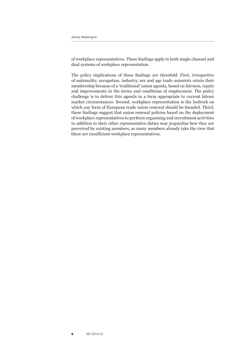Jeremy Waddington 

of workplace representatives. These findings apply to both single channel and dual systems of workplace representation.

The policy implications of these findings are threefold. First, irrespective of nationality, occupation, industry, sex and age trade unionists retain their membership because of a 'traditional' union agenda, based on fairness, equity and improvements in the terms and conditions of employment. The policy challenge is to deliver this agenda in a form appropriate to current labour market circumstances. Second, workplace representation is the bedrock on which any form of European trade union renewal should be founded. Third, these findings suggest that union renewal policies based on the deployment of workplace representatives to perform organising and recruitment activities in addition to their other representative duties may jeopardise how they are perceived by existing members, as many members already take the view that there are insufficient workplace representatives.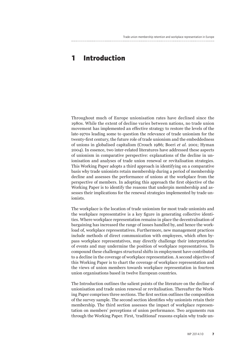# **1 Introduction**

Throughout much of Europe unionisation rates have declined since the 1980s. While the extent of decline varies between nations, no trade union movement has implemented an effective strategy to restore the levels of the late-1970s leading some to question the relevance of trade unionism for the twenty-first century, the future role of trade unionism and the embeddedness of unions in globalised capitalism (Crouch 1986; Boeri *et al*. 2001; Hyman 2004). In essence, two inter-related literatures have addressed these aspects of unionism in comparative perspective: explanations of the decline in unionisation and analyses of trade union renewal or revitalisation strategies. This Working Paper adopts a third approach in identifying on a comparative basis why trade unionists retain membership during a period of membership decline and assesses the performance of unions at the workplace from the perspective of members. In adopting this approach the first objective of the Working Paper is to identify the reasons that underpin membership and assesses their implications for the renewal strategies implemented by trade unionists.

The workplace is the location of trade unionism for most trade unionists and the workplace representative is a key figure in generating collective identities. Where workplace representation remains in place the decentralisation of bargaining has increased the range of issues handled by, and hence the workload of, workplace representatives. Furthermore, new management practices include methods of direct communication with employees, which often bypass workplace representatives, may directly challenge their interpretation of events and may undermine the position of workplace representatives. To compound these challenges structural shifts in employment have contributed to a decline in the coverage of workplace representation. A second objective of this Working Paper is to chart the coverage of workplace representation and the views of union members towards workplace representation in fourteen union organisations based in twelve European countries.

The Introduction outlines the salient points of the literature on the decline of unionisation and trade union renewal or revitalisation. Thereafter the Working Paper comprises three sections. The first section outlines the composition of the survey sample. The second section identifies why unionists retain their membership. The third section assesses the impact of workplace representation on members' perceptions of union performance. Two arguments run through the Working Paper. First, 'traditional' reasons explain why trade un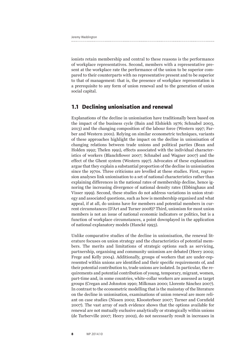ionists retain membership and central to these reasons is the performance of workplace representatives. Second, members with a representative present at the workplace rate the performance of the union to be superior compared to their counterparts with no representative present and to be superior to that of management: that is, the presence of workplace representation is a prerequisite to any form of union renewal and to the generation of union social capital.

#### **1.1 Declining unionisation and renewal**

Explanations of the decline in unionisation have traditionally been based on the impact of the business cycle (Bain and Elshiekh 1976; Schnabel 2003, 2013) and the changing composition of the labour force (Western 1997; Farber and Western 2001). Relying on similar econometric techniques, variants of these approaches highlight the impact on the decline in unionisation of changing relations between trade unions and political parties (Bean and Holden 1992; Thelen 1991), effects associated with the individual characteristics of workers (Blanchflower 2007; Schnabel and Wagner 2007) and the effect of the Ghent system (Western 1997). Advocates of these explanations argue that they explain a substantial proportion of the decline in unionisation since the 1970s. Three criticisms are levelled at these studies. First, regression analyses link unionisation to a set of national characteristics rather than explaining differences in the national rates of membership decline, hence ignoring the increasing divergence of national density rates (Ebbinghaus and Visser 1999). Second, these studies do not address variations in union strategy and associated questions, such as how is membership organised and what appeal, if at all, do unions have for members and potential members in current circumstances (D'Art and Turner 2008)? Third, unionism for most union members is not an issue of national economic indicators or politics, but is a function of workplace circumstances, a point downplayed in the application of national explanatory models (Hancké 1993).

Unlike comparative studies of the decline in unionisation, the renewal literature focuses on union strategy and the characteristics of potential members. The merits and limitations of strategic options such as servicing, partnership, organising and community unionism are debated (Heery 2002; Frege and Kelly 2004). Additionally, groups of workers that are under-represented within unions are identified and their specific requirements of, and their potential contribution to, trade unions are isolated. In particular, the requirements and potential contribution of young, temporary, migrant, women, part-time and, in some countries, white-collar workers are assessed as target groups (Cregan and Johnston 1990; Milkman 2000; Llorente Sánchez 2007). In contrast to the econometric modelling that is the mainstay of the literature on the decline in unionisation, examinations of union renewal are more reliant on case studies (Nissen 2002; Kloosterboer 2007; Turner and Cornfield 2007). The vast array of such evidence shows that the options available for renewal are not mutually exclusive analytically or strategically within unions (de Turberville 2007; Heery 2002), do not necessarily result in increases in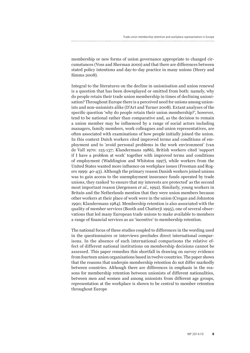membership or new forms of union governance appropriate to changed circumstances (Voss and Sherman 2000) and that there are differences between stated policy intentions and day-to-day practice in many unions (Heery and Simms 2008).

Integral to the literatures on the decline in unionisation and union renewal is a question that has been downplayed or omitted from both: namely, why do people retain their trade union membership in times of declining unionisation? Throughout Europe there is a perceived need for unions among unionists and non-unionists alike (D'Art and Turner 2008). Extant analyses of the specific question 'why do people retain their union membership?', however, tend to be national rather than comparative and, as the decision to remain a union member may be influenced by a range of social actors including managers, family members, work colleagues and union representatives, are often associated with examinations of how people initially joined the union. In this context Dutch workers cited improved terms and conditions of employment and to 'avoid personal problems in the work environment' (van de Vall 1970: 125-137; Klandermans 1986), British workers cited 'support if I have a problem at work' together with improved terms and conditions of employment (Waddington and Whitston 1997), while workers from the United States wanted more influence on workplace issues (Freeman and Rogers 1999: 40-43). Although the primary reason Danish workers joined unions was to gain access to the unemployment insurance funds operated by trade unions, they ranked 'to ensure that my interests are protected' as the second most important reason (Jørgensen *et al*., 1992). Similarly, young workers in Britain and the Netherlands mention that they were union members because other workers at their place of work were in the union (Cregan and Johnston 1990; Klandermans 1984). Membership retention is also associated with the quality of member services (Booth and Chatterji 1995), one of several observations that led many European trade unions to make available to members a range of financial services as an 'incentive' to membership retention.

The national focus of these studies coupled to differences in the wording used in the questionnaires or interviews precludes direct international comparisons. In the absence of such international comparisons the relative effect of different national institutions on membership decisions cannot be assessed. This paper remedies this shortfall in drawing on survey evidence from fourteen union organisations based in twelve countries. The paper shows that the reasons that underpin membership retention do not differ markedly between countries. Although there are differences in emphasis in the reasons for membership retention between unionists of different nationalities, between men and women and among unionists from different age groups, representation at the workplace is shown to be central to member retention throughout Europe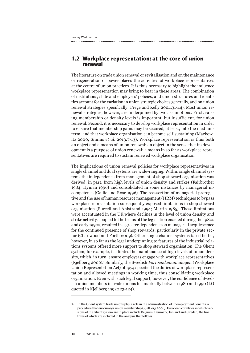# **1.2 Workplace representation: at the core of union renewal**

The literature on trade union renewal or revitalisation and on the maintenance or regeneration of power places the activities of workplace representatives at the centre of union practices. It is thus necessary to highlight the influence workplace representation may bring to bear in these areas. The combination of institutions, state and employers' policies, and union structures and identities account for the variation in union strategic choices generally, and on union renewal strategies specifically (Frege and Kelly 2004:31-44). Most union renewal strategies, however, are underpinned by two assumptions. First, raising membership or density levels is important, but insufficient, for union renewal. Second, it is necessary to develop workplace representation in order to ensure that membership gains may be secured, at least, into the mediumterm, and that workplace organisation can become self-sustaining (Markowitz 2000; Simms *et al*. 2013:7-13). Workplace representation is thus both an object and a means of union renewal: an object in the sense that its development is a purpose of union renewal; a means in so far as workplace representatives are required to sustain renewed workplace organisation.

The implications of union renewal policies for workplace representatives in single channel and dual systems are wide-ranging. Within single channel systems the independence from management of shop steward organisation was derived, in part, from high levels of union density and strikes (Fairbrother 1984; Hyman 1996) and consolidated in some instances by managerial incompetence (Gallie and Rose 1996). The reassertion of managerial prerogative and the use of human resource management (HRM) techniques to bypass workplace representation subsequently exposed limitations in shop steward organisation (Purcell and Ahlstrand 1994; Martin 1985). These limitations were accentuated in the UK where declines in the level of union density and strike activity, coupled to the terms of the legislation enacted during the 1980s and early 1990s, resulted in a greater dependence on managerial acquiescence for the continued presence of shop stewards, particularly in the private sector (Charlwood and Forth 2009). Other single channel systems fared better, however, in so far as the legal underpinning to features of the industrial relations systems offered more support to shop steward organisation. The Ghent system, for example, facilitates the maintenance of high levels of union density, which, in turn, ensure employers engage with workplace representatives (Kjellberg 2006).1 Similarly, the Swedish *Förtoendemannalagen* (Workplace Union Representation Act) of 1974 specified the duties of workplace representation and allowed meetings in working time, thus consolidating workplace organisation. Even with such legal support, however, the confidence of Swedish union members in trade unions fell markedly between 1980 and 1990 (LO quoted in Kjellberg 1992:123-124).

**<sup>1.</sup>** In the Ghent system trade unions play a role in the administration of unemployment benefits, a procedure that encourages union membership (Kjellberg 2006). European countries in which versions of the Ghent system are in place include Belgium, Denmark, Finland and Sweden, the final three of which are included in the analysis that follows.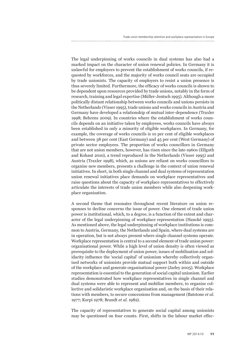The legal underpinning of works councils in dual systems has also had a marked impact on the character of union renewal policies. In Germany it is unlawful for employers to prevent the establishment of works councils, if requested by workforces, and the majority of works council seats are occupied by trade unionists. The capacity of employers to resist a union presence is thus severely limited. Furthermore, the efficacy of works councils is shown to be dependent upon resources provided by trade unions, notably in the form of research, training and legal expertise (Müller-Jentsch 1995). Although a more politically distant relationship between works councils and unions persists in the Netherlands (Visser 1995), trade unions and works councils in Austria and Germany have developed a relationship of mutual inter-dependence (Traxler 1998; Behrens 2009). In countries where the establishment of works councils depends on an initiative taken by employees, works councils have always been established in only a minority of eligible workplaces. In Germany, for example, the coverage of works councils is 10 per cent of eligible workplaces and between 38 per cent (East Germany) and 45 per cent (West Germany) of private sector employees. The proportion of works councillors in Germany that are not union members, however, has risen since the late-1960s (Ellguth and Kohaut 2010), a trend reproduced in the Netherlands (Visser 1995) and Austria (Traxler 1998), which, as unions are reliant on works councillors to organise new members, presents a challenge in the context of union renewal initiatives. In short, in both single channel and dual systems of representation union renewal initiatives place demands on workplace representatives and raise questions about the capacity of workplace representatives to effectively articulate the interests of trade union members while also deepening workplace organisation.

A second theme that resonates throughout recent literature on union responses to decline concerns the issue of power. One element of trade union power is institutional, which, to a degree, is a function of the extent and character of the legal underpinning of workplace representation (Hancké 1993). As mentioned above, the legal underpinning of workplace institutions is common to Austria, Germany, the Netherlands and Spain, where dual systems are in operation, but is not always present where single channel systems operate. Workplace representation is central to a second element of trade union power: organisational power. While a high level of union density is often viewed as prerequisite to the deployment of union power, issues of mobilisation and solidarity influence the 'social capital' of unionism whereby collectively organised networks of unionists provide mutual support both within and outside of the workplace and generate organisational power (Jarley 2005). Workplace representation is essential to the generation of social capital unionism. Earlier studies demonstrated how workplace representatives in single channel and dual systems were able to represent and mobilise members, to organise collective and solidaristic workplace organisation and, on the basis of their relations with members, to secure concessions from management (Batstone *et al*. 1977; Korpi 1978; Brandt *et al*. 1982).

The capacity of representatives to generate social capital among unionists may be questioned on four counts. First, shifts in the labour market effec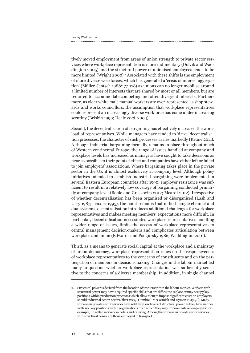tively moved employment from areas of union strength to private sector services where workplace representation is more rudimentary (Dolvik and Waddington 2005) and the structural power of unionised employees tends to be more limited (Wright 2000).<sup>2</sup> Associated with these shifts is the employment of more diverse workforces, which has generated a 'crisis of interest aggregation' (Müller-Jentsch 1988:177-178) as unions can no longer mobilise around a limited number of interests that are shared by most or all members, but are required to accommodate competing and often divergent interests. Furthermore, as older white male manual workers are over-represented as shop stewards and works councillors, the assumption that workplace representatives could represent an increasingly diverse workforce has come under increasing scrutiny (Briskin 1999; Healy *et al*. 2004).

Second, the decentralisation of bargaining has effectively increased the workload of representatives. While managers have tended to 'drive' decentralisation processes, the character of such processes varies markedly (Keune 2011). Although industrial bargaining formally remains in place throughout much of Western continental Europe, the range of issues handled at company and workplace levels has increased as managers have sought to take decisions as near as possible to their point of effect and companies have either left or failed to join employers' associations. Where bargaining takes place in the private sector in the UK it is almost exclusively at company level. Although policy initiatives intended to establish industrial bargaining were implemented in several Eastern European countries after 1990, employer resistance was sufficient to result in a relatively low coverage of bargaining conducted primarily at company level (Bohle and Greskovits 2012; Meardi 2012). Irrespective of whether decentralisation has been organised or disorganised (Lash and Urry 1987; Traxler 1995), the point remains that in both single channel and dual systems, decentralisation introduces additional challenges for workplace representatives and makes meeting members' expectations more difficult. In particular, decentralisation necessitates workplace representatives handling a wider range of issues, limits the access of workplace representatives to central management decision-makers and complicates articulation between workplace and union (Edwards and Podgursky 1986; Waddington 2001).

Third, as a means to generate social capital at the workplace and a mainstay of union democracy, workplace representation relies on the responsiveness of workplace representatives to the concerns of constituents and on the participation of members in decision-making. Changes in the labour market led many to question whether workplace representation was sufficiently sensitive to the concerns of a diverse membership. In addition, in single channel

**<sup>2.</sup>** Structural power is derived from the location of workers within the labour market. Workers with structural power may have acquired specific skills that are difficult to replace or may occupy key positions within production processes which allow them to impose significant costs on employers should industrial action occur (Silver 2003; Gumbrell-McCormick and Hyman 2013:30). Many workers in private sector services have relatively low levels of structural power as they have neither skills nor key positions within organisations from which they may impose costs on employers: for example, unskilled workers in hotels and catering. Among the workers in private sector services with structural power are those employed in transport.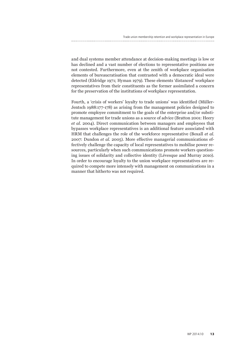and dual systems member attendance at decision-making meetings is low or has declined and a vast number of elections to representative positions are not contested. Furthermore, even at the zenith of workplace organisation elements of bureaucratisation that contrasted with a democratic ideal were detected (Eldridge 1971; Hyman 1979). These elements 'distanced' workplace representatives from their constituents as the former assimilated a concern for the preservation of the institutions of workplace representation.

Fourth, a 'crisis of workers' loyalty to trade unions' was identified (Müller-Jentsch 1988:177-178) as arising from the management policies designed to promote employee commitment to the goals of the enterprise and/or substitute management for trade unions as a source of advice (Bratton 2001: Heery *et al*. 2004). Direct communication between managers and employees that bypasses workplace representatives is an additional feature associated with HRM that challenges the role of the workforce representative (Boxall *et al*. 2007: Dundon *et al*. 2005). More effective managerial communications effectively challenge the capacity of local representatives to mobilise power resources, particularly when such communications promote workers questioning issues of solidarity and collective identity (Lévesque and Murray 2010). In order to encourage loyalty to the union workplace representatives are required to compete more intensely with management on communications in a manner that hitherto was not required.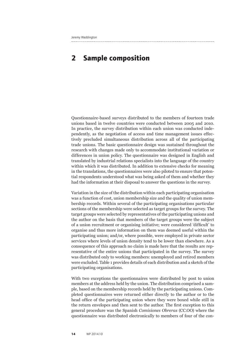# **2 Sample composition**

Questionnaire-based surveys distributed to the members of fourteen trade unions based in twelve countries were conducted between 2005 and 2010. In practice, the survey distribution within each union was conducted independently, as the negotiation of access and time management issues effectively precluded simultaneous distribution across all of the participating trade unions. The basic questionnaire design was sustained throughout the research with changes made only to accommodate institutional variation or differences in union policy. The questionnaire was designed in English and translated by industrial relations specialists into the language of the country within which it was distributed. In addition to extensive checks for meaning in the translations, the questionnaires were also piloted to ensure that potential respondents understood what was being asked of them and whether they had the information at their disposal to answer the questions in the survey.

Variation in the size of the distribution within each participating organisation was a function of cost, union membership size and the quality of union membership records. Within several of the participating organisations particular sections of the membership were selected as target groups for the survey. The target groups were selected by representatives of the participating unions and the author on the basis that members of the target groups were the subject of a union recruitment or organising initiative; were considered 'difficult' to organise and thus more information on them was deemed useful within the participating union; and/or, where possible, were employed in private sector services where levels of union density tend to be lower than elsewhere. As a consequence of this approach no claim is made here that the results are representative of the entire unions that participated in the survey. The survey was distributed only to working members: unemployed and retired members were excluded. Table 1 provides details of each distribution and a sketch of the participating organisations.

With two exceptions the questionnaires were distributed by post to union members at the address held by the union. The distribution comprised a sample, based on the membership records held by the participating unions. Completed questionnaires were returned either directly to the author or to the head office of the participating union where they were boxed while still in the return envelopes and then sent to the author. The first exception to this general procedure was the Spanish *Comisiones Obreras* (CC.OO) where the questionnaire was distributed electronically to members of four of the con-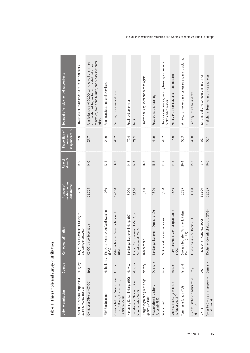| Segment of employment of respondents       | Private sector (as opposed to co-operative) banks        | commerce, hotels and tourism; and services for enter-<br>Four federations of CC.OO participated from mining<br>and metals; textiles, leather and related industries; | Food manufacturing and chemicals           |                                                                                    |                                  |                                                        | Professional engineers and technologists            |                                          | Chemicals and metals; security, banking and retail; and | Metals and chemicals, and IT and telecom         | White-collar workers in engineering and manufacturing    |                                                | Banking, building societies and insurance | Firefighting, banking, insurance and retail                 |
|--------------------------------------------|----------------------------------------------------------|----------------------------------------------------------------------------------------------------------------------------------------------------------------------|--------------------------------------------|------------------------------------------------------------------------------------|----------------------------------|--------------------------------------------------------|-----------------------------------------------------|------------------------------------------|---------------------------------------------------------|--------------------------------------------------|----------------------------------------------------------|------------------------------------------------|-------------------------------------------|-------------------------------------------------------------|
|                                            |                                                          | prises                                                                                                                                                               |                                            | Banking, insurance and retail                                                      | Retail and commerce              | Retail                                                 |                                                     | Restaurants and catering                 | health and education                                    |                                                  |                                                          | Banking, insurance and tax                     |                                           |                                                             |
| respondents %<br>Proportion of<br>women    | 76.9                                                     | 27.7                                                                                                                                                                 | 24.9                                       | 48.7                                                                               | 79.4                             | 78.2                                                   | 15.1                                                | 44.9                                     | 43.7                                                    | 16.9                                             | 56.3                                                     | 41.0                                           | 52.7                                      | 50.1                                                        |
| return %<br>Rate of                        | 15.9                                                     | 14.0                                                                                                                                                                 | 12.4                                       | 8.7                                                                                | 14.8                             | 14.9                                                   | 16.3                                                | 15.2                                     | 13.7                                                    | 14.5                                             | 20.4                                                     | 15.3                                           | 8.7                                       | 10.6                                                        |
| questionnaires<br>Number of<br>distributed | 720                                                      | 23,768                                                                                                                                                               | 4,080                                      | 14,130                                                                             | 5,000                            | 6,800                                                  | 9,000                                               | 1,300                                    | 5,500                                                   | 9,856                                            | 6,735                                                    | 4,000                                          | 35,600                                    | 23,585                                                      |
| Confederal affiliation                     | Magyar Szakszervezetek Országos<br>Szövetsége (MSZOSZ)   | CC.OO is a confederation                                                                                                                                             | Federatie Nederlandse Vakbeweging<br>(FNV) | Österreichischer Gewerkschftsbund<br>(ÖGB)                                         | Landsorganisasjonen i Norge (LO) | Magyar Szakszervezetek Országos<br>Szövetsége (MSZOSZ) | Independent                                         | Landsorganisationen i Danmark (LO)       | Solidarność is a confederation                          | Tjänstemännens Centralorganisation<br>(TCO)      | Suomen Teknisten Toimihenkilöiden<br>Keskusliitto (STTK) | Unione italiana del lavoro (UIL)               | ion Congress (TUC)<br>Trades Un           | Deutscher Gewerkschaftsbund (DGB)                           |
| Country                                    | Hungary                                                  | Spain                                                                                                                                                                | Netherlands                                | Austria                                                                            | Norway                           | Hungary                                                | Norway                                              | Denmark                                  | Poland                                                  | Sweden                                           | Finland                                                  | Italy                                          | $\leq$                                    |                                                             |
| Union organisation                         | Bankok, Biztosítók Dolgozóinak<br>Szakszervezete (BBDSZ) | Comisiones Obreras (CC.OO)                                                                                                                                           | FNV-Bondgenoten                            | Gewerkschaft der Privatanges-<br>tellten/ Druck, Journalismus,<br>Papier (GPA/DJP) | Handel og Kontor i Norge (HK)    | Kereskedelmi Alkalmazottak<br>Szakszervete (KASZ)      | Norges Ingeniør og Teknologor-<br>ganisasjon (NITO) | Restaurations Branchens<br>Forbund (RBF) | Solidarność                                             | Svenska Industritjänsteman-<br>naförbundet (Sif) | Toimihenkilöunioni (TU)                                  | Credito Esattorie e Assicurazio-<br>ni (UILCA) | <b>UNITE</b>                              | Vereinte Diensleistungsgewerk-   Germany<br>schaft (ver.di) |

Trade union membership retention and workplace representation in Europe

Table 1 The sample and survey distribution Table 1 The sample and survey distribution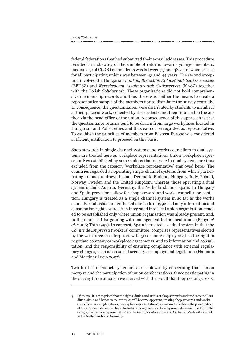federal federations that had submitted their e-mail addresses. This procedure resulted in a skewing of the sample of returns towards younger members: median age of CC.OO respondents was between 37 and 38 years whereas that for all participating unions was between 43 and 44 years. The second exception involved the Hungarian *Bankok, Biztosítók Dolgozóinak Szakszervezete* (BBDSZ) and *Kereskedelmi Alkalmazottak Szakszervete* (KASZ) together with the Polish *Solidarność*. These organisations did not hold comprehensive membership records and thus there was neither the means to create a representative sample of the members nor to distribute the survey centrally. In consequence, the questionnaires were distributed by students to members at their place of work, collected by the students and then returned to the author via the head office of the union. A consequence of this approach is that the questionnaire returns tend to be drawn from large workplaces located in Hungarian and Polish cities and thus cannot be regarded as representative. To establish the priorities of members from Eastern Europe was considered sufficient justification to proceed on this basis.

Shop stewards in single channel systems and works councillors in dual systems are treated here as workplace representatives. Union workplace representatives established by some unions that operate in dual systems are thus excluded from the category 'workplace representative' employed here.3 The countries regarded as operating single channel systems from which participating unions are drawn include Denmark, Finland, Hungary, Italy, Poland, Norway, Sweden and the United Kingdom, whereas those operating a dual system include Austria, Germany, the Netherlands and Spain. In Hungary and Spain provisions allow for shop steward and works council representation. Hungary is treated as a single channel system in so far as the works councils established under the Labour Code of 1992 had only information and consultation rights, were often integrated into local union organisation, tended to be established only where union organisation was already present, and, in the main, left bargaining with management to the local union (Benyó *et al*. 2006; Tòth 1997). In contrast, Spain is treated as a dual system in that the *Comite de Empressa* (workers' committee) comprises representatives elected by the workforce in enterprises with 50 or more employees; has the right to negotiate company or workplace agreements, and to information and consultation; and the responsibility of ensuring compliance with external regulatory changes, such as on social security or employment legislation (Hamann and Martinez Lucio 2007).

Two further introductory remarks are noteworthy concerning trade union mergers and the participation of union confederations. Since participating in the survey three unions have merged with the result that they no longer exist

**<sup>3.</sup>** Of course, it is recognised that the rights, duties and status of shop stewards and works councillors differ within and between countries. As will become apparent, treating shop stewards and works councillors as a single category 'workplace representatives' is a means to facilitate the presentation of the argument developed here. Included among the workplace representatives excluded from the category 'workplace representative' are the *Bedrijfscontactsman* and *Vertrauensleute* established in the Netherlands and Germany.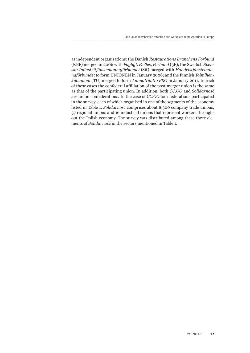as independent organisations: the Danish *Restaurations Branchens Forbund*  (RBF) merged in 2006 with *Fagligt, Fælles, Forbund* (3F); the Swedish *Svenska Industritjänstemannaförbundet* (Sif) merged with *Handelstjänstemannaförbundet* to form UNIONEN in January 2008; and the Finnish *Toimihenkilöunioni* (TU) merged to form *Ammattiliitto PRO* in January 2011. In each of these cases the confederal affiliation of the post-merger union is the same as that of the participating union. In addition, both *CC.OO* and *Solidarność* are union confederations. In the case of *CC.OO* four federations participated in the survey, each of which organised in one of the segments of the economy listed in Table 1. *Solidarność* comprises about 8,300 company trade unions, 37 regional unions and 16 industrial unions that represent workers throughout the Polish economy. The survey was distributed among these three elements of *Solidarność* in the sectors mentioned in Table 1.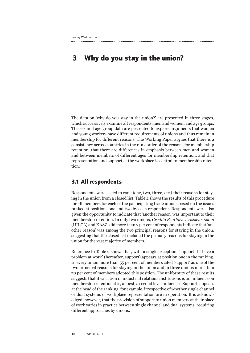# **3 Why do you stay in the union?**

The data on 'why do you stay in the union?' are presented in three stages, which successively examine all respondents, men and women, and age groups. The sex and age group data are presented to explore arguments that women and young workers have different requirements of unions and thus remain in membership for different reasons. The Working Paper argues that there is a consistency across countries in the rank order of the reasons for membership retention, that there are differences in emphasis between men and women and between members of different ages for membership retention, and that representation and support at the workplace is central to membership retention.

#### **3.1 All respondents**

Respondents were asked to rank (one, two, three, etc.) their reasons for staying in the union from a closed list. Table 2 shows the results of this procedure for all members for each of the participating trade unions based on the issues ranked at positions one and two by each respondent. Respondents were also given the opportunity to indicate that 'another reason' was important to their membership retention. In only two unions, *Credito Esattorie e Assicurazioni* (UILCA) and KASZ, did more than 7 per cent of respondents indicate that 'another reason' was among the two principal reasons for staying in the union, suggesting that the closed list included the primary reasons for staying in the union for the vast majority of members.

Reference to Table 2 shows that, with a single exception, 'support if I have a problem at work' (hereafter, support) appears at position one in the ranking. In every union more than 55 per cent of members cited 'support' as one of the two principal reasons for staying in the union and in three unions more than 70 per cent of members adopted this position. The uniformity of these results suggests that if variation in industrial relations institutions is an influence on membership retention it is, at best, a second level influence. 'Support' appears at the head of the ranking, for example, irrespective of whether single channel or dual systems of workplace representation are in operation. It is acknowledged, however, that the provision of support to union members at their place of work varies in practice between single channel and dual systems, requiring different approaches by unions.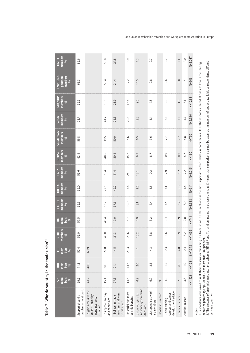| members<br><b>UNITE</b><br>$\sqrt{6}$       | 85.6                                      |                                                                                     | 56.8                                | 21.8                                                    | 12.9                                    | $\frac{1}{3}$                                          | 0.7                                |                               | 0.7                                                        | $\Box$             | 2.0              | $N=3,087$   |                                                                                                                                                                                                                                                                                                                                                                                                                                                                                                                                   |
|---------------------------------------------|-------------------------------------------|-------------------------------------------------------------------------------------|-------------------------------------|---------------------------------------------------------|-----------------------------------------|--------------------------------------------------------|------------------------------------|-------------------------------|------------------------------------------------------------|--------------------|------------------|-------------|-----------------------------------------------------------------------------------------------------------------------------------------------------------------------------------------------------------------------------------------------------------------------------------------------------------------------------------------------------------------------------------------------------------------------------------------------------------------------------------------------------------------------------------|
| FNV Bond-<br>members<br>genoten<br>$\delta$ | 68.3                                      |                                                                                     | 59.4                                | 24.4                                                    | 17.2                                    | 11.5                                                   | $0.\overline{8}$                   |                               | 0.6                                                        | $\frac{8}{1}$      |                  | $N = 506$   |                                                                                                                                                                                                                                                                                                                                                                                                                                                                                                                                   |
| GPA/DJP<br>members<br>se                    | 69.6                                      |                                                                                     | 53.5                                | 21.9                                                    | 15.4                                    | 9.5                                                    | 7.8                                |                               | $2.\overline{3}$                                           | $\ddot{0}$         | $\overline{6}$ . | $N=1,283$   |                                                                                                                                                                                                                                                                                                                                                                                                                                                                                                                                   |
| members<br>Ver.di<br>$\sqrt{6}$             | 72.7                                      |                                                                                     | 41.7                                | 25.6                                                    | 20.3                                    | 8.8                                                    | Ξ                                  |                               | $2.\overline{3}$                                           | 2.1                | 4.7              | $N=2,550$   |                                                                                                                                                                                                                                                                                                                                                                                                                                                                                                                                   |
| Solidarność<br>members<br>್ಥೆ               | 56.8                                      |                                                                                     | 39.5                                | 50.0                                                    | 5.6                                     | 6.5                                                    | 3.6                                |                               | 2.7                                                        | 2.7                | 4.8              | $N = 752$   |                                                                                                                                                                                                                                                                                                                                                                                                                                                                                                                                   |
| members<br><b>BBDSZ</b><br>$\frac{6}{9}$    | 62.9                                      |                                                                                     | 48.6                                | 30.5                                                    | 35.2                                    | 6.7                                                    | 8.7                                |                               | 0.9                                                        | 0.9                | 5.7              | $N = 130$   |                                                                                                                                                                                                                                                                                                                                                                                                                                                                                                                                   |
| members<br>KASZ<br>$\frac{6}{9}$            | 55.6                                      |                                                                                     | 21.4                                | 41.4                                                    | 24.1                                    | 12.1                                                   | 10.2                               |                               | 2.9                                                        | 5.2                | 7.2              | $N=1,015$   |                                                                                                                                                                                                                                                                                                                                                                                                                                                                                                                                   |
| members<br><b>UILCA</b><br>$\frac{6}{9}$    | 56.0                                      |                                                                                     | 22.5                                | 49.2                                                    | 13.8                                    | 2.5                                                    | S<br>ட்                            |                               | $\overline{3}$                                             | 5.9                | 11.4             | $N = 611$   |                                                                                                                                                                                                                                                                                                                                                                                                                                                                                                                                   |
| members<br>CC.00<br>$\sqrt{6}$              | 59.6                                      |                                                                                     | 53.2                                | 37.6                                                    | 19.9                                    | $\overline{8}$                                         | 2.4                                |                               | 3.4                                                        | 3.2                | 6.9              | $N = 3,338$ |                                                                                                                                                                                                                                                                                                                                                                                                                                                                                                                                   |
| mem-<br>bers<br>¥<br>$\infty$               | 57.5                                      |                                                                                     | 45.4                                | 17.0                                                    | 15.7                                    | 4.9                                                    | 3.2                                |                               | 3.4                                                        | $\overline{0}$ .   | 2.0              | $N = 741$   |                                                                                                                                                                                                                                                                                                                                                                                                                                                                                                                                   |
| members<br>POLIN<br>$\sqrt{6}$              | 59.0                                      |                                                                                     | 49.0                                | 21.3                                                    | 21.6                                    | 10.2                                                   | 8.8                                |                               | 8.6                                                        | 6.9                | 6.2              | $N = 1,466$ |                                                                                                                                                                                                                                                                                                                                                                                                                                                                                                                                   |
| mem-<br>bers<br>$\infty$<br>$\mathsf{P}$    | 57.4                                      | 60.9                                                                                | 27.8                                | 14.5                                                    | 23.3                                    | $\overline{41}$                                        | $4.\overline{3}$                   |                               | $0.\overline{3}$                                           | 4.8                | 0.4              | $N=1,373$   |                                                                                                                                                                                                                                                                                                                                                                                                                                                                                                                                   |
| mem-<br>RBF<br>bers<br>$\infty$             | 71.2                                      | 40.9                                                                                | 30.8                                | 21.1                                                    | 13.6                                    | 2.0                                                    | 3.5                                |                               | $\frac{1}{1}$                                              | 0.5                | $\overline{0}$   | $N = 198$   |                                                                                                                                                                                                                                                                                                                                                                                                                                                                                                                                   |
| mem-<br>bers<br>$\ddot{5}$<br>$\delta$      | 59.9                                      | 41.2                                                                                | 15.4                                | 27.8                                                    | 14.6                                    | 4.2                                                    | 6.2                                | 9.3                           | $\frac{8}{1}$                                              | 2.3                | 3.6              | $N=1,428$   |                                                                                                                                                                                                                                                                                                                                                                                                                                                                                                                                   |
|                                             | problem arise at work<br>Support should a | To gain access to the<br>union's unemploy-<br>ment insurance<br>scheme <sup>2</sup> | To improve my pay<br>and conditions | unionism and want<br>I believe in trade<br>to take part | Industrial and mem-<br>bership benefits | influence government<br>Union lobbying to<br>decisions | Most people at work<br>are members | Income insurance <sup>2</sup> | development advice<br>courses and career<br>Union training | Financial services | Another reason   |             | 2. The presence of unemployment insurance schemes (Sif, RBF and TU) and an income insurance scheme (Sif) means that comparisons cannot be exact as the number of options available to respondents differed<br>1. Respondents were asked to rank their reasons for remaining in a trade union in order with one as the most important reason. Table 2 reports the results of the responses ranked at one and two in the ranking,<br>hence the percentage figures add up to more than 100 per cent.<br>between countries.<br>Notes: |

----------------------------------

Table 2 Why do you stay in the trade union? Table 2 Why do you stay in the trade union?

WP 2014.10 **19**

Trade union membership retention and workplace representation in Europe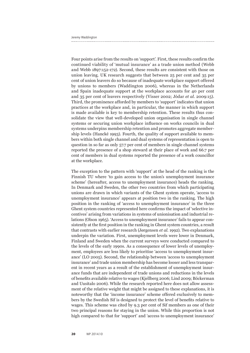Four points arise from the results on 'support'. First, these results confirm the continued viability of 'mutual insurance' as a trade union method (Webb and Webb 1897:152-172). Second, these results are consistent with those on union leaving. UK research suggests that between 25 per cent and 35 per cent of union leavers do so because of inadequate workplace support offered by unions to members (Waddington 2006), whereas in the Netherlands and Spain inadequate support at the workplace accounts for 40 per cent and 35 per cent of leavers respectively (Visser 2002; Jódar *et al*. 2009:15). Third, the prominence afforded by members to 'support' indicates that union practices at the workplace and, in particular, the manner in which support is made available is key to membership retention. These results thus consolidate the view that well-developed union organisation in single channel systems or securing union workplace influence on works councils in dual systems underpins membership retention and promotes aggregate membership levels (Hancké 1993). Fourth, the quality of support available to members within both single channel and dual systems of representation is open to question in so far as only 57.7 per cent of members in single channel systems reported the presence of a shop steward at their place of work and 66.7 per cent of members in dual systems reported the presence of a work councillor at the workplace.

The exception to the pattern with 'support' at the head of the ranking is the Finnish TU where 'to gain access to the union's unemployment insurance scheme' (hereafter, access to unemployment insurance) heads the ranking. In Denmark and Sweden, the other two countries from which participating unions are drawn in which variants of the Ghent system operate, 'access to unemployment insurance' appears at position two in the ranking. The high position in the ranking of 'access to unemployment insurance' in the three Ghent system countries represented here confirms the impact of 'selective incentives' arising from variations in systems of unionisation and industrial relations (Olson 1965). 'Access to unemployment insurance' fails to appear consistently at the first position in the ranking in Ghent system countries, a result that contrasts with earlier research (Jørgensen *et al*. 1992). Two explanations underpin the variation. First, unemployment levels were lower in Denmark, Finland and Sweden when the current surveys were conducted compared to the levels of the early 1990s. As a consequence of lower levels of unemployment, employees are less likely to prioritise 'access to unemployment insurance' (LO 2005). Second, the relationship between 'access to unemployment insurance' and trade union membership has become looser and less transparent in recent years as a result of the establishment of unemployment insurance funds that are independent of trade unions and reductions in the levels of benefits available relative to wages (Kiellberg 2006; Lind 2009; Böckerman and Uusitalo 2006). While the research reported here does not allow assessment of the relative weight that might be assigned to these explanations, it is noteworthy that the 'income insurance' scheme offered exclusively to members by the Swedish Sif is designed to protect the level of benefits relative to wages. This scheme was cited by 9.3 per cent of Sif members as one of their two principal reasons for staying in the union. While this proportion is not high compared to that for 'support' and 'access to unemployment insurance'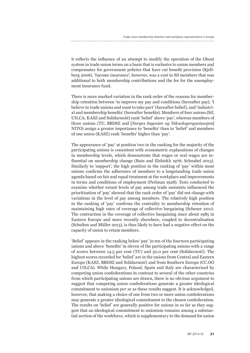it reflects the influence of an attempt to modify the operation of the Ghent system in trade union terms on a basis that is exclusive to union members and compensates for government policies that have cut benefit provision (Kjellberg 2006). 'Income insurance', however, was a cost to Sif members that was additional to both membership contributions and the fee for the unemployment insurance fund.

There is more marked variation in the rank order of the reasons for membership retention between 'to improve my pay and conditions (hereafter pay), 'I believe in trade unions and want to take part' (hereafter belief), and 'industrial and membership benefits' (hereafter benefits). Members of four unions (Sif, UILCA, KASZ and Solidarność) rank 'belief' above 'pay', whereas members of three unions (TU, BBDSZ and [*Norges Ingeniør og Teknologorganisasjon*] NITO) assign a greater importance to 'benefits' than to 'belief' and members of one union (KASZ) rank 'benefits' higher than 'pay'.

The appearance of 'pay' at position two in the ranking for the majority of the participating unions is consistent with econometric explanations of changes in membership levels, which demonstrate that wages or real wages are influential on membership change (Bain and Elshiekh 1976; Schnabel 2013). Similarly to 'support', the high position in the ranking of 'pay' within most unions confirms the adherence of members to a longstanding trade union agenda based on fair and equal treatment at the workplace and improvements in terms and conditions of employment (Perlman 1928). Tests conducted to examine whether extant levels of pay among trade unionists influenced the prioritisation of 'pay' showed that the rank order of 'pay' did not change with variations in the level of pay among members. The relatively high position in the ranking of 'pay' confirms the centrality to membership retention of maintaining high rates of coverage of collective bargaining (Scheuer 2011). The contraction in the coverage of collective bargaining since about 1985 in Eastern Europe and more recently elsewhere, coupled to decentralisation (Schulten and Müller 2013), is thus likely to have had a negative effect on the capacity of union to retain members.

'Belief' appears in the ranking below 'pay' in ten of the fourteen participating unions and above 'benefits' in eleven of the participating unions with a range of scores between 14.5 per cent (TU) and 50.0 per cent (Solidarność). The highest scores recorded for 'belief' are in the unions from Central and Eastern Europe (KASZ, BBDSZ and Solidarność) and from Southern Europe (CC.OO and UILCA). While Hungary, Poland, Spain and Italy are characterised by competing union confederations in contrast to several of the other countries from which participating unions are drawn, there is no obvious argument to suggest that competing union confederations generate a greater ideological commitment to unionism *per se* as these results suggest. It is acknowledged, however, that making a choice of one from two or more union confederations may generate a greater ideological commitment to the chosen confederation. The results on 'belief' are generally positive for unions in so far as they suggest that an ideological commitment to unionism remains among a substantial section of the workforce, which is supplementary to the demand for union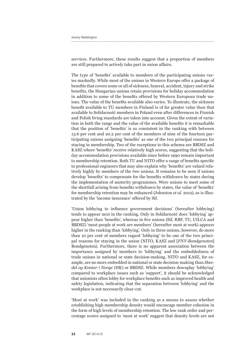services. Furthermore, these results suggest that a proportion of members are still prepared to actively take part in union affairs.

The type of 'benefits' available to members of the participating unions varies markedly. While most of the unions in Western Europe offer a package of benefits that covers some or all of sickness, funeral, accident, injury and strike benefits, the Hungarian unions retain provisions for holiday accommodation in addition to some of the benefits offered by Western European trade unions. The value of the benefits available also varies. To illustrate, the sickness benefit available to TU members in Finland is of far greater value than that available to Solidarność members in Poland even after differences in Finnish and Polish living standards are taken into account. Given the extent of variation in both the range and the value of the available benefits it is remarkable that the position of 'benefits' is so consistent in the ranking with between 13.6 per cent and 20.2 per cent of the members of nine of the fourteen participating unions assigning 'benefits' as one of the two principal reasons for staying in membership. Two of the exceptions to this schema are BBDSZ and KASZ where 'benefits' receive relatively high scores, suggesting that the holiday accommodation provisions available since before 1990 remain important to membership retention. Both TU and NITO offer a range of benefits specific to professional engineers that may also explain why 'benefits' are valued relatively highly by members of the two unions. It remains to be seen if unions develop 'benefits' to compensate for the benefits withdrawn by states during the implementation of austerity programmes. Were unions to meet some of the shortfall arising from benefits withdrawn by states, the value of 'benefits' for membership retention may be enhanced (Johnston *et al*. 2012), as is illustrated by the 'income insurance' offered by Sif.

'Union lobbying to influence government decisions' (hereafter lobbying) tends to appear next in the ranking. Only in Solidarność does 'lobbying' appear higher than 'benefits', whereas in five unions (Sif, RBF, TU, UILCA and BBDSZ) 'most people at work are members' (hereafter most at work) appears higher in the ranking than 'lobbying'. Only in three unions, however, do more than 10 per cent of members regard 'lobbying' to be one of the two principal reasons for staying in the union (NITO, KASZ and [*FNV-Bondgenoten*] Bondgenoten). Furthermore, there is no apparent association between the importance assigned by members to 'lobbying' and the embeddedness of trade unions in national or state decision-making. NITO and KASZ, for example, are no more embedded in national or state decision-making than *Handel og Kontor i Norge* (HK) or BBDSZ. While members downplay 'lobbying' compared to workplace issues such as 'support', it should be acknowledged that unionists often lobby for workplace benefits such as improved health and safety legislation, indicating that the separation between 'lobbying' and the workplace is not necessarily clear-cut.

'Most at work' was included in the ranking as a means to assess whether establishing high membership density would encourage member cohesion in the form of high levels of membership retention. The low rank order and percentage scores assigned to 'most at work' suggest that density levels are not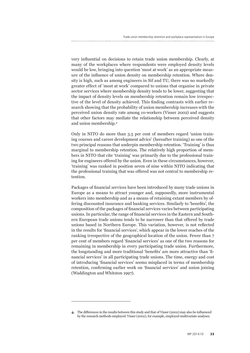very influential on decisions to retain trade union membership. Clearly, at many of the workplaces where respondents were employed density levels would be low, bringing into question 'most at work' as an appropriate measure of the influence of union density on membership retention. Where density is high, such as among engineers in Sif and TU, there was no markedly greater effect of 'most at work' compared to unions that organise in private sector services where membership density tends to be lower, suggesting that the impact of density levels on membership retention remain low irrespective of the level of density achieved. This finding contrasts with earlier research showing that the probability of union membership increases with the perceived union density rate among co-workers (Visser 2002) and suggests that other factors may mediate the relationship between perceived density and union membership.4

Only in NITO do more than 3.5 per cent of members regard 'union training courses and career development advice' (hereafter training) as one of the two principal reasons that underpin membership retention. 'Training' is thus marginal to membership retention. The relatively high proportion of members in NITO that cite 'training' was primarily due to the professional training for engineers offered by the union. Even in these circumstances, however, 'training' was ranked in position seven of nine within NITO indicating that the professional training that was offered was not central to membership retention.

Packages of financial services have been introduced by many trade unions in Europe as a means to attract younger and, supposedly, more instrumental workers into membership and as a means of retaining extant members by offering discounted insurance and banking services. Similarly to 'benefits', the composition of the packages of financial services varies between participating unions. In particular, the range of financial services in the Eastern and Southern European trade unions tends to be narrower than that offered by trade unions based in Northern Europe. This variation, however, is not reflected in the results for 'financial services', which appear in the lower reaches of the ranking irrespective of the geographical location of the union. Fewer than 7 per cent of members regard 'financial services' as one of the two reasons for remaining in membership in every participating trade union. Furthermore, the longstanding and more traditional 'benefits' are more attractive than 'financial services' in all participating trade unions. The time, energy and cost of introducing 'fi nancial services' seems misplaced in terms of membership retention, confirming earlier work on 'financial services' and union joining (Waddington and Whitston 1997).

<sup>4.</sup> The differences in the results between this study and that of Visser (2002) may also be influenced by the research methods employed. Visser (2002), for example, employed multivariate analyses.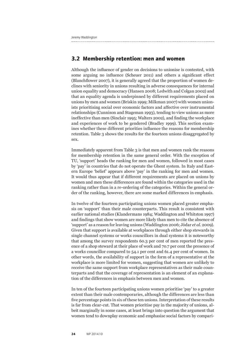#### **3.2 Membership retention: men and women**

Although the influence of gender on decisions to unionise is contested, with some arguing no influence (Scheuer 2011) and others a significant effect (Blanchflower 2007), it is generally agreed that the proportion of women declines with seniority in unions resulting in adverse consequences for internal union equality and democracy (Hansen 2008; Ledwith and Colgan 2002) and that an equality agenda is underpinned by different requirements placed on unions by men and women (Briskin 1999; Milkman 2007) with women unionists prioritising social over economic factors and affective over instrumental relationships (Cunnison and Stageman 1993), tending to view unions as more ineffective than men (Sinclair 1995; Walters 2002), and finding the workplace and experiences of work to be gendered (Bradley 1999). This section examines whether these different priorities influence the reasons for membership retention. Table 3 shows the results for the fourteen unions disaggregated by sex.

Immediately apparent from Table 3 is that men and women rank the reasons for membership retention in the same general order. With the exception of TU, 'support' heads the ranking for men and women, followed in most cases by 'pay' in countries that do not operate the Ghent system. In Italy and Eastern Europe 'belief' appears above 'pay' in the ranking for men and women. It would thus appear that if different requirements are placed on unions by women and men these differences are found within the categories used in the ranking rather than in a re-ordering of the categories. Within the general order of the ranking, however, there are some marked differences in emphasis.

In twelve of the fourteen participating unions women placed greater emphasis on 'support' than their male counterparts. This result is consistent with earlier national studies (Klandermans 1984; Waddington and Whitston 1997) and findings that show women are more likely than men to cite the absence of 'support' as a reason for leaving unions (Waddington 2006; Jódar *et al*. 2009). Given that support is available at workplaces through either shop stewards in single channel systems or works councillors in dual systems it is noteworthy that among the survey respondents 60.3 per cent of men reported the presence of a shop steward at their place of work and 70.7 per cent the presence of a works councillor compared to 54.1 per cent and 61.4 per cent of women. In other words, the availability of support in the form of a representative at the workplace is more limited for women, suggesting that women are unlikely to receive the same support from workplace representatives as their male counterparts and that the coverage of representation is an element of an explanation of the differences in emphasis between men and women.

In ten of the fourteen participating unions women prioritise 'pay' to a greater extent than their male contemporaries, although the differences are less than five percentage points in six of these ten unions. Interpretation of these results is far from clear-cut. That women prioritise pay in the majority of unions, albeit marginally in some cases, at least brings into question the argument that women tend to downplay economic and emphasise social factors by compari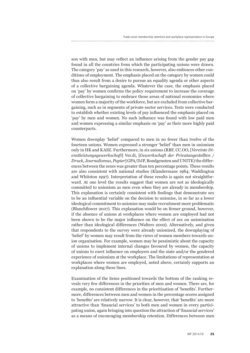son with men, but may reflect an influence arising from the gender pay gap found in all the countries from which the participating unions were drawn. The category 'pay' as used in this research, however, also embraces other conditions of employment. The emphasis placed on the category by women could thus also result from a desire to pursue an equality agenda or other aspects of a collective bargaining agenda. Whatever the case, the emphasis placed on 'pay' by women confirms the policy requirement to increase the coverage of collective bargaining to embrace those areas of national economies where women form a majority of the workforce, but are excluded from collective bargaining, such as in segments of private sector services. Tests were conducted to establish whether existing levels of pay influenced the emphasis placed on 'pay' by men and women. No such influence was found with low paid men and women expressing a similar emphasis on 'pay' as their more highly paid counterparts.

Women downplay 'belief' compared to men in no fewer than twelve of the fourteen unions. Women expressed a stronger 'belief' than men in unionism only in HK and KASZ. Furthermore, in six unions (RBF, CC.OO, [*Vereinte Dienstleistungsgewerkschaft*] Ver.di, [*Gewerkschaft der Privatangestellten / Druck, Journalismus, Papier*] GPA/DJP, Bondgenoten and UNITE) the differences between the sexes was greater than ten percentage points. These results are also consistent with national studies (Klandermans 1984; Waddington and Whitston 1997). Interpretation of these results is again not straightforward. At one level the results suggest that women are not as ideologically committed to unionism as men even when they are already in membership. This explanation is certainly consistent with findings that demonstrate sex to be an influential variable on the decision to unionise, in so far as a lower ideological commitment to unionise may make recruitment more problematic (Blanchflower 2007). This explanation would be on firmer ground, however, if the absence of unions at workplaces where women are employed had not been shown to be the major influence on the effect of sex on unionisation rather than ideological differences (Walters 2002). Alternatively, and given that respondents to the survey were already unionised, the downplaying of 'belief' by women may result from the views of women members towards union organisation. For example, women may be pessimistic about the capacity of unions to implement internal changes favoured by women, the capacity of unions to exert influence on employers and the state and/or the gendered experience of unionism at the workplace. The limitations of representation at workplaces where women are employed, noted above, certainly supports an explanation along these lines.

Examination of the items positioned towards the bottom of the ranking reveals very few differences in the priorities of men and women. There are, for example, no consistent differences in the prioritisation of 'benefits'. Furthermore, differences between men and women in the percentage scores assigned to 'benefits' are relatively narrow. It is clear, however, that 'benefits' are more attractive than 'financial services' to both men and women in every participating union, again bringing into question the attraction of 'financial services' as a means of encouraging membership retention. Differences between men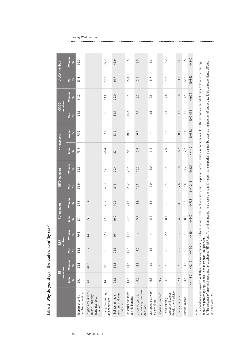|                                                                                                                                                                                                                                                                                               |                 | members<br>$\overline{5}$ | membe           | <b>SJE</b><br>RBF | TU members           |                            |                        | NITO members        |                 | <b>HK</b> members | members<br>CC.OO |                          | UILCA members  |                          |
|-----------------------------------------------------------------------------------------------------------------------------------------------------------------------------------------------------------------------------------------------------------------------------------------------|-----------------|---------------------------|-----------------|-------------------|----------------------|----------------------------|------------------------|---------------------|-----------------|-------------------|------------------|--------------------------|----------------|--------------------------|
|                                                                                                                                                                                                                                                                                               | Men<br>$\delta$ | <b>Women</b><br>$\delta$  | Men<br>$\infty$ | Nomen<br>$\delta$ | <b>S</b><br>$\delta$ | <b>Women</b><br>$\sqrt{6}$ | <b>Sen</b><br>$\infty$ | Nomen<br>$\sqrt{6}$ | Men<br>$\delta$ | Women<br>$\delta$ | Men<br>$\delta$  | <b>Women</b><br>$\delta$ | Si<br>$\infty$ | <b>Women</b><br>$\delta$ |
| problem arise at work<br>Support should a                                                                                                                                                                                                                                                     | 59.4            | 62.8                      | 82.8            | 79.3              | 53.1                 | 54.1                       | 58.9                   | 59.5                | 76.5            | 78.6              | 55.5             | 64.2                     | 53.8           | 59.3                     |
| To gain access to the<br>union's unemploy-<br>ment insurance<br>scheme <sup>2</sup>                                                                                                                                                                                                           | 41.5            | 40.2                      | 38.2            | 44.8              | 55.9                 | 65.4                       |                        |                     |                 |                   |                  |                          |                |                          |
| To improve my pay<br>and conditions                                                                                                                                                                                                                                                           | 14.5            | 20.1                      | 30.0            | 32.2              | 27.5                 | 28.2                       | 48.3                   | 52.3                | 66.4            | 62.7              | 51.0             | 54.1                     | 22.7           | 22.2                     |
| unionism and want<br>I believe in trade<br>to take part                                                                                                                                                                                                                                       | 28.5            | 24.3                      | 25.5            | 16.1              | 19.0                 | 10.9                       | 21.5                   | 20.4                | 22.1            | 23.9              | 39.4             | 29.0                     | 50.7           | 46.9                     |
| Industrial and mem-<br>bership benefits                                                                                                                                                                                                                                                       | 14.6            | 14.6                      | 15.5            | 11.5              | 21.8                 | 24.8                       | 21.2                   | 23.5                | 20.1            | 19.8              | 19.7             | 18.5                     | 15.3           | 115                      |
| influence government<br>Union lobbying to<br>decisions                                                                                                                                                                                                                                        | 4.5             | 2.9                       | 3.6             |                   | 5.7                  | 2.9                        | 10.1                   | 10.2                | 5.4             | 6.7               | 7.7              | 8.5                      | 2.5            | 2.5                      |
| Most people at work<br>are members                                                                                                                                                                                                                                                            | 63              | 5.9                       | 5.5             | Ξ                 | 5.2                  | 3.5                        | 9.0                    | 8.0                 | 3.4             | Ξ                 | $2.\overline{3}$ | 2.5                      | 5.7            | 5.3                      |
| Income insurance <sup>2</sup>                                                                                                                                                                                                                                                                 | 9.7             | 7.5                       |                 |                   |                      |                            |                        |                     |                 |                   |                  |                          |                |                          |
| development advice<br>courses and career<br>Union training                                                                                                                                                                                                                                    | $\frac{8}{1}$   | $\overline{2.1}$          | 0.9             | $2.\overline{3}$  | $0.\overline{3}$     | $0.\overline{3}$           | 8.4                    | 9.5                 | 2.0             | $\overline{1}$ .  | 6.4              | 7.8                      | 4.2            | 6.2                      |
| Financial services                                                                                                                                                                                                                                                                            | 2.4             | 2.1                       | 0.9             |                   | 4.9                  | 4.8                        | 7.6                    | 3.0                 | 0.7             | 0.7               | 3.3              | 3.6                      | 3.7            | $\overline{5}$           |
| Another reason                                                                                                                                                                                                                                                                                | 3.6             | 3.8                       | 0.9             | $\Box$            | $0.\overline{8}$     | 0.8                        | 6.6                    | 4.2                 | 2.7             | $\frac{1}{3}$     | 6.5              | 7.5                      | 12.6           | 9.5                      |
|                                                                                                                                                                                                                                                                                               | $N=1,189$       | $N = 242$                 | $N=110$         | $N = 89$          | $N = 640$            | $N = 733$                  | $N = 1,245$            | $N = 221$           | $N = 149$       | $N = 588$         | $N=2,412$        | $N = 926$                | $N = 362$      | $N = 249$                |
| 1. Respondents were asked to rank their reasons for remaining in a trade union in order with one as the most important reason. Table 2 reports the results of the responses ranked at one and two in the ranking,<br>hence the percentage figures add up to more than 100 per cent.<br>Notes: |                 |                           |                 |                   |                      |                            |                        |                     |                 |                   |                  |                          |                |                          |

Table 3 Why do you stay in the trade union? (by sex)' Table 3 Why do you stay in the trade union? (by sex)

ncnee are procedured and the valuation of the comment of the state of the scheme (Sif) means that comparisons cannot be exact as the number of options available to respondents differed<br>2. The presence of unemployment insur 2. The presence of unemployment insurance schemes (Sif, RBF and TU) and an income insurance scheme (Sif) means that comparisons cannot be exact as the number of options available to respondents differed

between countries.

# Jeremy Waddington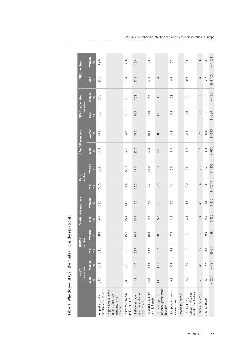|                                                                                     |                        | members<br>KASZ     |                 | BBDSZ<br>members         | Solidarność members |                           | members<br>Ver.di      |                          | GPA/DJP members        |                   | FNV Bondgenoten<br>members |                   | UNITE members   |                   |
|-------------------------------------------------------------------------------------|------------------------|---------------------|-----------------|--------------------------|---------------------|---------------------------|------------------------|--------------------------|------------------------|-------------------|----------------------------|-------------------|-----------------|-------------------|
|                                                                                     | <b>Men</b><br>$\delta$ | Women<br>$\sqrt{6}$ | Men<br>$\delta$ | <b>Women</b><br>$\delta$ | Men<br>$\infty$     | Nomen<br>$\delta_{\rm o}$ | <b>Nen</b><br>$\delta$ | <b>Women</b><br>$\delta$ | <b>Sen</b><br>$\infty$ | Women<br>$\delta$ | Men<br>$\delta$            | Nomen<br>$\delta$ | Men<br>$\delta$ | Women<br>$\delta$ |
| problem arise at work<br>Support should a                                           | 53.4                   | 56.2                | 71.0            | 58.9                     | 54.7                | 59.5                      | 66.6                   | 78.8                     | 65.2                   | 73.8              | 66.1                       | 74.8              | 82.6            | 89.0              |
| To gain access to the<br>union's unemploy-<br>ment insurance<br>scheme <sup>2</sup> |                        |                     |                 |                          |                     |                           |                        |                          |                        |                   |                            |                   |                 |                   |
| To improve my pay<br>and conditions                                                 | 20.8                   | 21.6                | 35.5            | 45.3                     | 35.4                | 44.8                      | 54.4                   | 51.0                     | 52.0                   | 54.7              | 59.8                       | 58.3              | 51.4            | 61.8              |
| unionism and want<br>believe in trade<br>to take part                               | 41.2                   | 41.6                | 38.7            | 34.7                     | 53.3                | 45.7                      | 33.7                   | 17.6                     | 27.6                   | 15.6              | 30.7                       | 18.9              | 27.2            | 16.8              |
| Industrial and mem-<br>bership benefits                                             | 22.6                   | 24.6                | 35.5            | 30.5                     | 4.2                 | 7.3                       | 17.7                   | 23.0                     | 12.3                   | 20.3              | 17.5                       | 16.5              | 13.4            | 12.5              |
| influence government<br>Union lobbying to<br>decisions                              | 13.6                   | 11.7                |                 | 10.5                     | 5.2                 | 8.2                       | 9.6                    | 8.0                      | 10.8                   | 8.0               | 11.6                       | 11.0              | 1.4             | 1.2               |
| Most people at work<br>are members                                                  | 9.5                    | 10.5                | 6.5             | 7.4                      | 3.3                 | 4.0                       | $\overline{14}$        | 0.9                      | 6.9                    | 8.8               | 0.5                        | 0.8               | 0.7             | 0.7               |
| Income insurance <sup>2</sup>                                                       |                        |                     |                 |                          |                     |                           |                        |                          |                        |                   |                            |                   |                 |                   |
| development advice<br>courses and career<br>Union training                          | 2.7                    | 2.9                 |                 | Ξ                        | 3.3                 | $\frac{8}{1}$             | 2.0                    | 2.6                      | 6.2                    | $2.\overline{3}$  | $\tilde{c}$                | 2.4               | 0.8             | 0.6               |
| Financial services                                                                  | 6.3                    | 4.9                 | 3.2             |                          | $\overline{14}$     | 4.3                       | $\overline{14}$        | 2.8                      | $\overline{1}$ .       | 2.3               | $\frac{1}{3}$              | $\overline{31}$   | $\overline{14}$ | 0.8               |
| Another reason                                                                      | 5.4                    | 7.7                 | 6.5             | $6.\overline{3}$         | 4.9                 | 4.6                       | 4.6                    | 4.7                      | 6.8                    | 5.3               |                            |                   | 2.7             | $\overline{1}$ .  |
|                                                                                     | $N = 221$              | $N = 794$           | $N=31$          | $N = 99$                 | $N = 426$           | $N = 330$                 | $N=1,247$              | $N=1,253$                | $N = 6666$             | $N = 633$         | $N = 380$                  | $N = 126$         | $N = 1,466$     | $N=1,621$         |

Table 3 Why do you stay in the trade union? (by sex) (cont.) Table 3 Why do you stay in the trade union? (by sex) (cont.)

-------------------------------

Trade union membership retention and workplace representation in Europe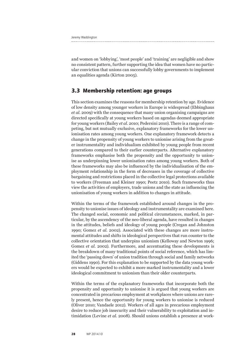and women on 'lobbying', 'most people' and 'training' are negligible and show no consistent pattern, further supporting the idea that women have no particular conviction that unions can successfully lobby governments to implement an equalities agenda (Kirton 2005).

# **3.3 Membership retention: age groups**

This section examines the reasons for membership retention by age. Evidence of low density among younger workers in Europe is widespread (Ebbinghaus *et al*. 2009) with the consequence that many union organising campaigns are directed specifically at young workers based on agendas deemed appropriate for young workers (Bailey *et al*. 2010; Pedersini 2010). There is a range of competing, but not mutually exclusive, explanatory frameworks for the lower unionisation rates among young workers. One explanatory framework detects a change in the propensity of young workers to unionise arising from the greater instrumentality and individualism exhibited by young people from recent generations compared to their earlier counterparts. Alternative explanatory frameworks emphasise both the propensity and the opportunity to unionise as underpinning lower unionisation rates among young workers. Both of these frameworks may also be influenced by the individualisation of the employment relationship in the form of decreases in the coverage of collective bargaining and restrictions placed in the collective legal protections available to workers (Freeman and Kleiner 1990; Peetz 2010). Such frameworks thus view the activities of employers, trade unions and the state as influencing the unionisation of young workers in addition to changes in attitude.

Within the terms of the framework established around changes in the propensity to unionise issues of ideology and instrumentality are examined here. The changed social, economic and political circumstances, marked, in particular, by the ascendency of the neo-liberal agenda, have resulted in changes in the attitudes, beliefs and ideology of young people (Cregan and Johnston 1990; Gomez *et al*. 2002). Associated with these changes are more instrumental attitudes and shifts in ideological perspectives that run counter to the collective orientation that underpins unionism (Kelloway and Newton 1996; Gomez *et al*. 2002). Furthermore, and accentuating these developments is the breakdown of many traditional points of social reference, which has limited the 'passing down' of union tradition through social and family networks (Giddens 1990). For this explanation to be supported by the data young workers would be expected to exhibit a more marked instrumentality and a lower ideological commitment to unionism than their older counterparts.

Within the terms of the explanatory frameworks that incorporate both the propensity and opportunity to unionise it is argued that young workers are concentrated in precarious employment at workplaces where unions are rarely present, hence the opportunity for young workers to unionise is reduced (Oliver 2010; Vandaele 2012). Workers of all ages in precarious employment desire to reduce job insecurity and their vulnerability to exploitation and intimidation (Levine *et al*. 2008). Should unions establish a presence at work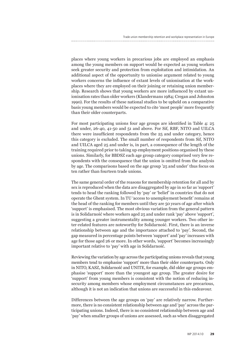places where young workers in precarious jobs are employed an emphasis among the young members on support would be expected as young workers seek greater security and protection from exploitation and intimidation. An additional aspect of the opportunity to unionise argument related to young workers concerns the influence of extant levels of unionisation at the workplaces where they are employed on their joining or retaining union membership. Research shows that young workers are more influenced by extant unionisation rates than older workers (Klandermans 1984; Cregan and Johnston 1990). For the results of these national studies to be upheld on a comparative basis young members would be expected to cite 'most people' more frequently than their older counterparts.

For most participating unions four age groups are identified in Table 4: 25 and under, 26-40, 41-50 and 51 and above. For Sif, RBF, NITO and UILCA there were insufficient respondents from the 25 and under category, hence this category is excluded. The small number of respondents from Sif, NITO and UILCA aged 25 and under is, in part, a consequence of the length of the training required prior to taking up employment positions organised by these unions. Similarly, for BBDSZ each age group category comprised very few respondents with the consequence that the union is omitted from the analysis by age. The comparisons based on the age group '25 and under' thus focus on ten rather than fourteen trade unions.

The same general order of the reasons for membership retention for all and by sex is reproduced when the data are disaggregated by age in so far as 'support' tends to head the ranking followed by 'pay' or 'belief' in countries that do not operate the Ghent system. In TU 'access to unemployment benefit' remains at the head of the ranking for members until they are 50 years of age after which 'support' is emphasised. The most obvious variation from the general pattern is in Solidarność where workers aged 25 and under rank 'pay' above 'support', suggesting a greater instrumentality among younger workers. Two other inter-related features are noteworthy for Solidarność. First, there is an inverse relationship between age and the importance attached to 'pay'. Second, the gap measured in percentage points between 'support' and 'pay' increases with age for those aged 26 or more. In other words, 'support' becomes increasingly important relative to 'pay' with age in Solidarność.

Reviewing the variation by age across the participating unions reveals that young members tend to emphasise 'support' more than their older counterparts. Only in NITO, KASZ, Solidarność and UNITE, for example, did older age groups emphasise 'support' more than the youngest age group. The greater desire for 'support' from young members is consistent with the notion of reducing insecurity among members whose employment circumstances are precarious, although it is not an indication that unions are successful in this endeavour.

Differences between the age groups on 'pay' are relatively narrow. Furthermore, there is no consistent relationship between age and 'pay' across the participating unions. Indeed, there is no consistent relationship between age and 'pay' when smaller groups of unions are assessed, such as when disaggregated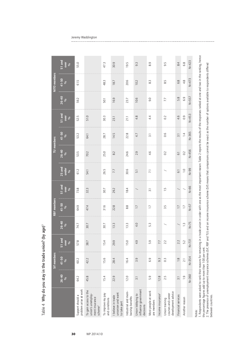|                                                                                                                                                                                                                                                                                               |                       | Sif members      |                |                          | RBF members       |                            |                             | TU members            |                   |                            |                       | NITO members      |                            |
|-----------------------------------------------------------------------------------------------------------------------------------------------------------------------------------------------------------------------------------------------------------------------------------------------|-----------------------|------------------|----------------|--------------------------|-------------------|----------------------------|-----------------------------|-----------------------|-------------------|----------------------------|-----------------------|-------------------|----------------------------|
|                                                                                                                                                                                                                                                                                               | $26 - 40$<br>$\delta$ | $41 - 50$<br>%   | 51 and<br>over | $26 - 40$<br>$\infty$    | 41-50<br>$\infty$ | 51 and<br>over<br>$\delta$ | 25 and<br>under<br>$\infty$ | $26 - 40$<br>$\infty$ | 41-50<br>$\infty$ | 51 and<br>over<br>$\delta$ | $26 - 40$<br>$\infty$ | 41-50<br>$\delta$ | 51 and<br>over<br>$\delta$ |
| problem arise at work<br>Support should a                                                                                                                                                                                                                                                     | 64.2                  | 60.2             | 57.8           | 74.7                     | 64.9              | 73.8                       | 61.2                        | 53.5                  | 53.2              | 52.5                       | 59.2                  | 61.5              | 55.0                       |
| To gain access to the<br>union's unemploy-<br>ment insurance<br>scheme <sup>2</sup>                                                                                                                                                                                                           | 45.8                  | 42.2             | 38.7           | 30.7                     | 47.4              | 32.3                       | 54.1                        | 70.2                  | 64.1              | 51.0                       |                       |                   |                            |
| To improve my pay<br>and conditions                                                                                                                                                                                                                                                           | 15.4                  | 15.6             | 15.4           | 30.7                     | 31.6              | 30.7                       | 26.5                        | 25.0                  | 28.7              | 30.3                       | 50.1                  | 48.3              | 47.3                       |
| unionism and want<br>I believe in trade<br>to take part                                                                                                                                                                                                                                       | 22.9                  | 28.4             | 29.9           | 13.3                     | 22.8              | 29.2                       | 7.7                         | 8.2                   | 14.5              | 23.1                       | 16.9                  | 18.7              | 30.9                       |
| Industrial and mem-<br>bership benefits                                                                                                                                                                                                                                                       | 12.0                  | 16.4             | 15.0           | 13.3                     | 8.8               | 18.4                       | 30.6                        | 24.6                  | 22.8              | 21.1                       | 23.7                  | 20.6              | 19.5                       |
| influence government<br>Union lobbying to<br>decisions                                                                                                                                                                                                                                        | $\overline{31}$       | 3.9              | 4.9            | 4.0                      | $\overline{1}$ .  |                            | 5.1                         | 2.9                   | 4.7               | 4.8                        | 10.6                  | 10.2              | $9.\overline{3}$           |
| Most people at work<br>are members                                                                                                                                                                                                                                                            | 5.9                   | 6.9              | 5.9            | 5.3                      | $\overline{1}$ .  | $\overline{31}$            | $\overline{71}$             | 4.6                   | $\overline{31}$   | 4.4                        | 9.0                   | 8.3               | 8.9                        |
| Income insurance <sup>2</sup>                                                                                                                                                                                                                                                                 | 12.8                  | 9.3              | 7.7            |                          |                   |                            |                             |                       |                   |                            |                       |                   |                            |
| development advice<br>courses and career<br>Union training                                                                                                                                                                                                                                    | 2.5                   | $0.\overline{3}$ | 2.2            |                          | 3.5               | $\frac{5}{1}$              |                             | 0.2                   | 0.6               | 0.2                        | 7.7                   | 8.5               | 9.5                        |
| Financial services                                                                                                                                                                                                                                                                            | $\overline{3.1}$      | 1.8              | 2.2            | $\overline{\phantom{0}}$ | $\overline{1}$ .  |                            | $\overline{6}$              | $\overline{61}$       | $\overline{3}$ .  | 4.6                        | 5.8                   | 6.8               | 8.4                        |
| Another reason                                                                                                                                                                                                                                                                                | $\overline{0}$ .      | $\overline{2.1}$ | 5.2            | $\bar{\omega}$           | $\overline{1.7}$  |                            | $\overline{C}$              | 0.2                   | $\overline{1}$    | 0.9                        | 6.9                   | 4.8               | 6.8                        |
|                                                                                                                                                                                                                                                                                               | $N = 360$             | $N = 354$        | $N = 731$      | $N = 75$                 | $N = 57$          | $N = 66$                   | $N=99$                      | $N = 456$             | $N = 365$         | $N=453$                    | $N = 5557$            | $N = 473$         | $N = 423$                  |
| 1. Respondents were asked to rank their reasons for remaining in a trade union in order with one as the most important reason. Table 2 reports the results of the responses ranked at one and two in the ranking, hence<br>the percentage figures add up to more than 100 per cent.<br>Notes: |                       |                  |                |                          |                   |                            |                             |                       |                   |                            |                       |                   |                            |

Table 4 Why do you stay in the trade union? (by age)1 Table 4  $\,$  Why do you stay in the trade union? (by age) $^{\dagger}$ 

**30** WP 2014.10

2. The presence of unemployment insurance schemes (Sif, RBF and TU) and an income insurance scheme (Sif) means that comparisons cannot be exact as the number of options available to respondents differed<br>between countries. 2. The presence of unemployment insurance schemes (Sif, RBF and TU) and an income insurance scheme (Sif) means that comparisons cannot be exact as the number of options available to respondents differed between countries.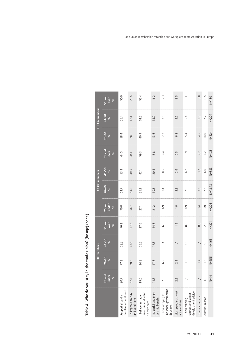|                   | 51 and<br>over<br>$\delta$             | 50.0                                      | 21.5                                | 55.4                                                    | 16.2                                    | $2.\overline{3}$<br>2.5                                | $8.\overline{5}$<br>3.2            | $\overline{31}$<br>5.4                                     | 3.8<br>8.8         | 11.5<br>7.7    | $N = 130$ |
|-------------------|----------------------------------------|-------------------------------------------|-------------------------------------|---------------------------------------------------------|-----------------------------------------|--------------------------------------------------------|------------------------------------|------------------------------------------------------------|--------------------|----------------|-----------|
| UILCA members     | 41-50<br>$\delta$                      | 55.4<br>58.4                              | 18.1                                | 51.5<br>40.3                                            | 13.2<br>13.6                            | 2.7                                                    | 6.8                                | 5.4                                                        | 4.5                | 14.0           | $N = 207$ |
|                   | $26 - 40$<br>$\delta$                  |                                           | 28.1                                |                                                         |                                         |                                                        |                                    |                                                            |                    |                | $N = 224$ |
|                   | 51 and<br>over<br>$\delta$             | 44.5                                      | 44.1                                | 59.3                                                    | 15.8                                    | 9.4                                                    | 2.5                                | 3.9                                                        | 2.2                | 6.2            | $N=438$   |
| CC.00 members     | $41 - 50$<br>$\delta$                  | 53.3                                      | 49.5                                | 42.1                                                    | 20.5                                    | 8.5                                                    | 2.6                                | 6.2                                                        | 3.2                | 6.0            | $N = 833$ |
|                   | $26 - 40$<br>$\delta$                  | 61.7                                      | 54.1                                | 35.2                                                    | 19.5                                    | 7.4                                                    | 2.8                                | 7.9                                                        | 3.3                | 7.6            | $N=1,873$ |
|                   | 25 and<br>under<br>$\delta$            | 70.0                                      | 56.7                                | 27.1                                                    | 21.2                                    | 6.9                                                    | $\overline{C}$                     | 4.9                                                        | $\overline{3.4}$   | 3.9            | $N = 205$ |
|                   | 51 and<br>over<br>$\infty$             | 76.3                                      | 57.6                                | 27.6                                                    | 24.8                                    | 6.5                                                    | $\overline{0}$ .                   | 0.8                                                        | 0.8                | 2.1            | $N = 274$ |
| <b>HK</b> members | 41-50<br>$\delta$                      | 78.8                                      | 63.5                                | 25.5                                                    | 17.3                                    | 6.4                                                    |                                    | 2.6                                                        |                    | 2.0            | $N = 161$ |
|                   | $26 - 40$<br>$\delta$                  | 773                                       | 69.2                                | 24.8                                                    | 17.8                                    | 6.9                                                    | 2.2                                | $-1.6$                                                     | $\overline{1}$ .   | $\frac{8}{1}$  | $N = 255$ |
|                   | 5 and<br>under<br>%<br>$\frac{15}{25}$ | 90.7                                      | 4<br>67                             | 19.0                                                    | $\overline{Q}$                          | 2.3                                                    | 2.3                                |                                                            |                    | <u>ා</u>       | $N=44$    |
|                   |                                        | problem arise at work<br>Support should a | To improve my pay<br>and conditions | I believe in trade<br>unionism and want<br>to take part | Industrial and mem-<br>bership benefits | influence government<br>Union lobbying to<br>decisions | Most people at work<br>are members | courses and career<br>development advice<br>Union training | Financial services | Another reason |           |

Table 4 Why do you stay in the trade union? (by age) (cont.) Table 4 Why do you stay in the trade union? (by age) (cont.)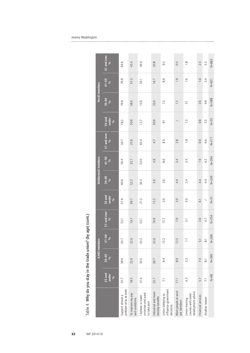| 51 and over<br>$\frac{96}{}$<br>$41 - 50$<br>%<br>$26-40$<br>%<br>25 and<br>under<br>$\delta$<br>51 and over<br>$41-50$<br>%                                                                                                                                                                   | Solidarność members<br>KASZ members |
|------------------------------------------------------------------------------------------------------------------------------------------------------------------------------------------------------------------------------------------------------------------------------------------------|-------------------------------------|
| 76.9<br>58.4<br>15.6<br>25.0<br>7.3<br>50.9<br>30.9<br>78.2<br>12.7<br>5<br>25.6<br>$8.\overline{5}$<br>50.7<br>65.4<br>4.7<br>56.4<br>53.0<br>4.9<br>8.0<br>33.7<br>60.6<br>52.2<br>5.6<br>3.6<br>36.3<br>57.6<br>3.0<br>69.7<br>15.2<br>21.2<br>16.9<br>19.7<br>15.7<br>53.1<br>53.1<br>15.2 | 25 and<br>under<br>$\sqrt{6}$       |
| 22.0                                                                                                                                                                                                                                                                                           |                                     |
| 53.7<br>22.0<br>43.2                                                                                                                                                                                                                                                                           |                                     |
|                                                                                                                                                                                                                                                                                                | $26-40$<br>%                        |
|                                                                                                                                                                                                                                                                                                |                                     |
|                                                                                                                                                                                                                                                                                                |                                     |

# Table 4 Why do you stay in the trade union? (by age) (cont.)

 $32$ 

# Jeremy Waddington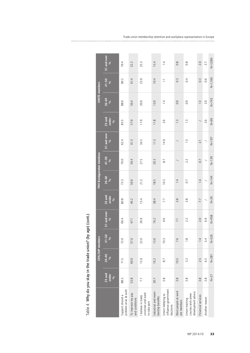|                                                            |                             | GPA/DJP members            |                 |                         |                     | FNV Bondgenoten members |                           |                         |                             | UNITE members                 |                   |                         |
|------------------------------------------------------------|-----------------------------|----------------------------|-----------------|-------------------------|---------------------|-------------------------|---------------------------|-------------------------|-----------------------------|-------------------------------|-------------------|-------------------------|
|                                                            | 25 and<br>under<br>$\delta$ | $26 - 40$<br>$\frac{6}{6}$ | $41 - 50$<br>%  | 51 and over<br>$\delta$ | 25 and<br>under $%$ | $26 - 40$<br>$\delta$   | 41-50<br>$\delta_{\rm o}$ | 51 and over<br>$\delta$ | 25 and<br>under<br>$\delta$ | $26 - 40$<br>$\delta_{\rm o}$ | 41-50<br>$\delta$ | 51 and over<br>$\delta$ |
| problem arise at work<br>Support should a                  | 88.5                        | 71.5                       | 72.0            | 66.4                    | 80.8                | 73.3                    | 70.0                      | 62.4                    | 85.5                        | 88.9                          | 90.2              | 79.4                    |
| To improve my pay<br>and conditions                        | 53.8                        | 60.0                       | 57.0            | 47.1                    | 46.2                | 59.6                    | 59.4                      | 61.3                    | 57.9                        | 56.4                          | 61.4              | 52.2                    |
| unionism and want<br>I believe in trade<br>to take part    | 7.7                         | 15.9                       | 22.0            | 26.9                    | 15.4                | 21.2                    | 27.5                      | 34.5                    | 17.9                        | 20.9                          | 23.9              | 25.3                    |
| Industrial and mem-<br>bership benefits                    | 30.7                        | 16.2                       | 13.6            | 16.2                    | 38.4                | 18.5                    | 20.3                      | 11.3                    | 11.8                        | 13.0                          | 10.4              | 15.4                    |
| influence government<br>Union lobbying to<br>decisions     | 3.8                         | 8.7                        | 10.3            | 9.6                     | 7.7                 | 10.3                    | 8.7                       | 14.9                    | 2.6                         | $\overline{14}$               | Ξ                 | $\overline{14}$         |
| Most people at work<br>are members                         | 3.8                         | 10.5                       | 7.6             | $\overline{71}$         | 3.8                 | $\overline{14}$         |                           |                         | $\frac{3}{2}$               | 0.9                           | $0.\overline{3}$  | 0.8                     |
| development advice<br>courses and career<br>Union training | 3.8                         | 3.2                        | $\frac{8}{1}$   | 2.2                     | 3.8                 | 0.7                     | 2.2                       | $\frac{5}{1}$           | $\frac{1}{2}$               | 0.9                           | 0.4               | 0.8                     |
| Financial services                                         | 3.8                         | 2.5                        | $\overline{14}$ | 2.0                     | 7.7                 | 1.4                     | 0.7                       | 2.1                     |                             | $\frac{1}{3}$                 | $0.\overline{3}$  | 2.0                     |
| Another reason                                             | 3.8                         | 6.5                        | 5.4             | 6.9                     |                     |                         |                           |                         | 2.6                         | 2.0                           | 0.6               | 3.7                     |
|                                                            | $N=27$                      | $N = 281$                  | $N = 526$       | $N=458$                 | $N = 26$            | $N = 144$               | $N = 139$                 | $N = 197$               | $N=69$                      | $N = 743$                     | $N = 1,160$       | $N=1,084$               |

| (by age) (con |
|---------------|
|               |
|               |
| /ממות ווו ממר |
| inn           |
|               |
|               |
| stay in the   |
| שט אט         |
|               |
|               |
| $\frac{1}{2}$ |

Trade union membership retention and workplace representation in Europe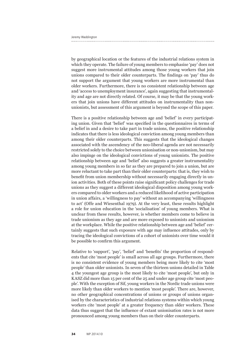by geographical location or the features of the industrial relations system in which they operate. The failure of young members to emphasise 'pay' does not suggest more instrumental attitudes among those young workers that join unions compared to their older counterparts. The findings on 'pay' thus do not support the argument that young workers are more instrumental than older workers. Furthermore, there is no consistent relationship between age and 'access to unemployment insurance', again suggesting that instrumentality and age are not directly related. Of course, it may be that the young workers that join unions have different attitudes on instrumentality than nonunionists, but assessment of this argument is beyond the scope of this paper.

There is a positive relationship between age and 'belief' in every participating union. Given that 'belief' was specified in the questionnaires in terms of a belief in and a desire to take part in trade unions, the positive relationship indicates that there is less ideological conviction among young members than among their older counterparts. This suggests that the ideological changes associated with the ascendency of the neo-liberal agenda are not necessarily restricted solely to the choice between unionisation or non-unionism, but may also impinge on the ideological convictions of young unionists. The positive relationship between age and 'belief' also suggests a greater instrumentality among young members in so far as they are prepared to join a union, but are more reluctant to take part than their older counterparts: that is, they wish to benefit from union membership without necessarily engaging directly in union activities. Both of these points raise significant policy challenges for trade unions as they suggest a different ideological disposition among young workers compared to older workers and a reduced likelihood of active participation in union affairs, a 'willingness to pay' without an accompanying 'willingness to act' (Offe and Wiesenthal 1979). At the very least, these results highlight a role for union education in the 'socialisation' of young members. What is unclear from these results, however, is whether members come to believe in trade unionism as they age and are more exposed to unionists and unionism at the workplace. While the positive relationship between age and 'belief' certainly suggests that such exposure with age may influence attitudes, only by tracing the ideological convictions of a cohort of unionists over time would it be possible to confirm this argument.

Relative to 'support', 'pay', 'belief' and 'benefits' the proportion of respondents that cite 'most people' is small across all age groups. Furthermore, there is no consistent evidence of young members being more likely to cite 'most people' than older unionists. In seven of the thirteen unions detailed in Table 4 the youngest age group is the most likely to cite 'most people', but only in KASZ did more than 15 per cent of the 25 and under age group cite 'most people'. With the exception of Sif, young workers in the Nordic trade unions were more likely than older workers to mention 'most people'. There are, however, no other geographical concentrations of unions or groups of unions organised by the characteristics of industrial relations systems within which young workers cite 'most people' at a greater frequency than older workers. These data thus suggest that the influence of extant unionisation rates is not more pronounced among young members than on their older counterparts.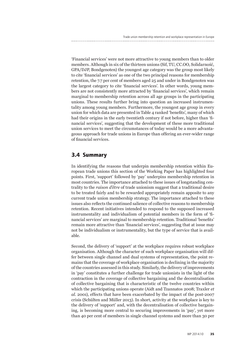'Financial services' were not more attractive to young members than to older members. Although in six of the thirteen unions (Sif, TU, CC.OO, Solidarność, GPA/DJP, Bondgenoten) the youngest age category was the group most likely to cite 'financial services' as one of the two principal reasons for membership retention, the 7.7 per cent of members aged 25 and under in Bondgenoten was the largest category to cite 'financial services'. In other words, young members are not consistently more attracted by 'financial services', which remain marginal to membership retention across all age groups in the participating unions. These results further bring into question an increased instrumentality among young members. Furthermore, the youngest age group in every union for which data are presented in Table 4 ranked 'benefits', many of which had their origins in the early twentieth century if not before, higher than 'financial services', suggesting that the development of these more traditional union services to meet the circumstances of today would be a more advantageous approach for trade unions in Europe than offering an ever-wider range of financial services.

#### **3.4 Summary**

In identifying the reasons that underpin membership retention within European trade unions this section of the Working Paper has highlighted four points. First, 'support' followed by 'pay' underpins membership retention in most countries. The importance attached to these issues of longstanding centrality to the *raison d'être* of trade unionism suggest that a traditional desire to be treated fairly and to be rewarded appropriately remain apposite to any current trade union membership strategy. The importance attached to these issues also reflects the continued salience of collective reasons to membership retention. Recent initiatives intended to respond to the supposed increased instrumentality and individualism of potential members in the form of 'financial services' are marginal to membership retention. Traditional 'benefits' remain more attractive than 'financial services', suggesting that at issue may not be individualism or instrumentality, but the type of service that is available.

Second, the delivery of 'support' at the workplace requires robust workplace organisation. Although the character of such workplace organisation will differ between single channel and dual systems of representation, the point remains that the coverage of workplace organisation is declining in the majority of the countries assessed in this study. Similarly, the delivery of improvements in 'pay' constitutes a further challenge for trade unionists in the light of the contraction in the coverage of collective bargaining and the decentralisation of collective bargaining that is characteristic of the twelve countries within which the participating unions operate (Aidt and Tzannatos 2008; Traxler *et al*. 2001), effects that have been exacerbated by the impact of the post-2007 crisis (Schülten and Müller 2013). In short, activity at the workplace is key to the delivery of 'support' and, with the decentralisation of collective bargaining, is becoming more central to securing improvements in 'pay', yet more than 40 per cent of members in single channel systems and more than 30 per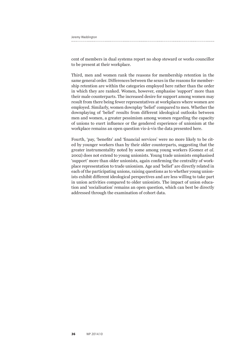Jeremy Waddington

cent of members in dual systems report no shop steward or works councillor to be present at their workplace.

Third, men and women rank the reasons for membership retention in the same general order. Differences between the sexes in the reasons for membership retention are within the categories employed here rather than the order in which they are ranked. Women, however, emphasise 'support' more than their male counterparts. The increased desire for support among women may result from there being fewer representatives at workplaces where women are employed. Similarly, women downplay 'belief' compared to men. Whether the downplaying of 'belief' results from different ideological outlooks between men and women, a greater pessimism among women regarding the capacity of unions to exert influence or the gendered experience of unionism at the workplace remains an open question vis-à-vis the data presented here.

Fourth, 'pay, 'benefits' and 'financial services' were no more likely to be cited by younger workers than by their older counterparts, suggesting that the greater instrumentality noted by some among young workers (Gomez *et al*. 2002) does not extend to young unionists. Young trade unionists emphasised 'support' more than older unionists, again confirming the centrality of workplace representation to trade unionism. Age and 'belief' are directly related in each of the participating unions, raising questions as to whether young unionists exhibit different ideological perspectives and are less willing to take part in union activities compared to older unionists. The impact of union education and 'socialisation' remains an open question, which can best be directly addressed through the examination of cohort data.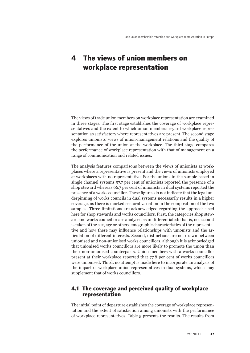# **4 The views of union members on workplace representation**

The views of trade union members on workplace representation are examined in three stages. The first stage establishes the coverage of workplace representatives and the extent to which union members regard workplace representation as satisfactory where representatives are present. The second stage explores unionists' views of union-management relations and the quality of the performance of the union at the workplace. The third stage compares the performance of workplace representation with that of management on a range of communication and related issues.

The analysis features comparisons between the views of unionists at workplaces where a representative is present and the views of unionists employed at workplaces with no representative. For the unions in the sample based in single channel systems 57.7 per cent of unionists reported the presence of a shop steward whereas 66.7 per cent of unionists in dual systems reported the presence of a works councillor. These figures do not indicate that the legal underpinning of works councils in dual systems necessarily results in a higher coverage, as there is marked sectoral variation in the composition of the two samples. Three limitations are acknowledged regarding the approach used here for shop stewards and works councillors. First, the categories shop steward and works councillor are analysed as undifferentiated: that is, no account is taken of the sex, age or other demographic characteristics of the representative and how these may influence relationships with unionists and the articulation of different interests. Second, distinctions are not drawn between unionised and non-unionised works councillors, although it is acknowledged that unionised works councillors are more likely to promote the union than their non-unionised counterparts. Union members with a works councillor present at their workplace reported that 77.8 per cent of works councillors were unionised. Third, no attempt is made here to incorporate an analysis of the impact of workplace union representatives in dual systems, which may supplement that of works councillors.

# **4.1 The coverage and perceived quality of workplace representation**

The initial point of departure establishes the coverage of workplace representation and the extent of satisfaction among unionists with the performance of workplace representatives. Table 5 presents the results. The results from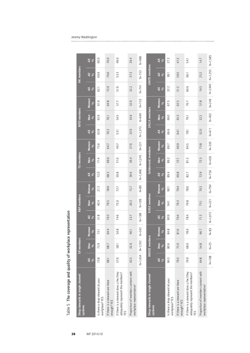# Jeremy Waddington

| Shop stewards in single channel<br>systems                                       |               | Sif members          |                   |               | <b>RBF</b> members |                          |                               | TU members          |                          |                               | NITO members         |                   |                               | <b>HK</b> members            |               |
|----------------------------------------------------------------------------------|---------------|----------------------|-------------------|---------------|--------------------|--------------------------|-------------------------------|---------------------|--------------------------|-------------------------------|----------------------|-------------------|-------------------------------|------------------------------|---------------|
|                                                                                  | ₹<br>$\infty$ | Ser<br>$\infty$      | Nomen<br>$\infty$ |               | Jien<br>$\delta$   | <b>Women</b><br>$\infty$ | $\overline{z}$ $\overline{s}$ | Men<br>$\infty$     | <b>Nomen</b><br>$\infty$ | $\overline{z}$ $\overline{s}$ | Men<br>$\infty$      | Women<br>$\delta$ | $\overline{z}$ $\overline{s}$ | $\overline{z}$ $\frac{8}{5}$ | $\delta$<br>₹ |
| Is there a shop steward at your<br>workplace? YES                                | 73.8          | 73.9                 | 73.1              | 31.8          | 40.4               | 21.3                     | 72.0                          | 71.4                | 75.6                     | 63.8                          | 65.9                 | 61.9              | 62.1                          | 69.9                         | 60.0          |
| If there is a steward are there<br>enough? YES                                   | 68.1          | 68.7                 | 64.4              | 79.3          | 79.5               | 78.9                     | 68.3                          | 69.0                | 64.7                     | 70.2                          | 76.1                 | 64.8              | 72.0                          | 76.6                         | 70.0          |
| If there is a steward does s/he/they<br>adequately represent the members?<br>YES | 57.6          | 58.1                 | 54.8              | 74.6          | 75.0               | 73.7                     | 50.8                          | 51.0                | 49.7                     | 53.1                          | 54.5                 | 51.7              | 51.9                          | 53.3                         | 49.0          |
| Proportion of members content with<br>workplace representation <sup>1</sup>      | 42.5          | 42.9                 | 40.1              | 23.7          | 30.3               | 15.7                     | 36.6                          | 36.4                | 37.6                     | 33.9                          | 35.9                 | 32.0              | 32.2                          | 37.3                         | 29.4          |
|                                                                                  | $N=1,434$     | $N=1,192$            | $N = 242$         | $N = 198$     | $N=109$            | $N = 89$                 | $N = 1,466$                   | $N=1,245$           | $N = 221$                | $N=1,373$                     | $N = 640$            | $N = 733$         | $N = 741$                     | $N = 153$                    | $N = 588$     |
| Shop stewards in single channel<br>systems                                       |               | <b>BBDSZ</b> members |                   |               | KASZ members       |                          |                               | Solidarność members |                          |                               | <b>UILCA</b> members |                   |                               | UNITE members                |               |
|                                                                                  | $\delta$<br>₹ | Men<br>$\delta$      | Women<br>$\delta$ | ₹<br>$\delta$ | Men<br>$\delta$    | Women<br>$\sqrt{6}$      | इ ४                           | Men<br>$\delta$     | <b>Women</b><br>$\delta$ | ₹<br>$\infty$                 | Men<br>$\infty$      | Women<br>$\delta$ | $\overline{z}$ $\overline{s}$ | $\frac{1}{2}$                | ₹<br>$\infty$ |
| Is there a shop steward at your<br>workplace? YES                                | 84.3          | 80.6                 | 84.8              | 90.9          | 94.1               | 90.1                     | 89.4                          | 89.2                | 89.7                     | 66.6                          | 66.0                 | 67.5              | 32.2                          | 38.1                         | 27.2          |
| If there is a steward are there<br>enough? YES                                   | 79.3          | 72.0                 | 81.0              | 79.4          | 79.3               | 79.4                     | 69.8                          | 72.1                | 66.9                     | 64.1                          | 65.3                 | 62.5              | 51.2                          | 59.5                         | 41.3          |
| If there is a steward does s/he/they<br>adequately represent the members?<br>YES | 76.9          | 68.0                 | 78.6              | 78.4          | 79.8               | 78.0                     | 82.7                          | 81.3                | 84.5                     | 78.1                          | 79.1                 | 76.7              | 60.6                          | 66.1                         | 54.1          |
| Proportion of members content with<br>workplace representation1                  | 64.8          | 54.8                 | 66.7              | 71.3          | 75.1               | 70.3                     | 73.9                          | 72.5                | 75.8                     | 52.0                          | 52.2                 | 51.8              | 19.5                          | 25.2                         | 14.7          |
|                                                                                  | $N = 108$     | $N = 25$             | $N = 83$          | $N=1,015$     | $N = 221$          | $N = 794$                | $N = 756$                     | $N=426$             | $N = 330$                | $N = 611$                     | $N = 362$            | $N = 249$         | $N=2,940$                     | $N = 1,355$                  | $N=1,585$     |

# Table 5 The coverage and quality of workplace representation Table 5 The coverage and quality of workplace representation

**38** WP 2014.10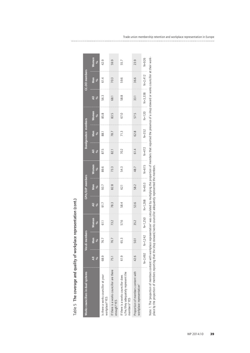| <u>้</u>                                                                 |
|--------------------------------------------------------------------------|
|                                                                          |
| こうしょういう こうこうこう サイント・エリー フェーク・クスク うろうしょうこうしょう<br>ב<br>המונ<br>Í<br>)<br>) |
| í<br>3<br>l                                                              |

---------------------------------

| Works councillors in dual systems                                                                                                                                                                                  |           | Ver.di members |                         |           | <b>GPA/DJP</b> members |                     |           | <b>Bondgenoten members</b> |                          |               | CC.00 members   |                          |
|--------------------------------------------------------------------------------------------------------------------------------------------------------------------------------------------------------------------|-----------|----------------|-------------------------|-----------|------------------------|---------------------|-----------|----------------------------|--------------------------|---------------|-----------------|--------------------------|
|                                                                                                                                                                                                                    | ₹<br>್ಗೆ  | Men<br>%       | Vomen<br>$\frac{1}{26}$ | ₹ ४       | Men<br>%               | Vomer<br>$\sqrt{6}$ | ₹ ४       | Nen<br>%                   | <b>Nomen</b><br>$\delta$ | ₹<br>$\delta$ | Men<br>$\delta$ | <b>Women</b><br>$\delta$ |
| Is there a works councillor at your<br>workplace? YES                                                                                                                                                              | 68.9      | 76.7           | 511                     | 91.7      | 93.7                   | 89.6                | 87.5      | 88.1                       | 85.8                     | 56.3          | 61.4            | 42.9                     |
| If there is a works councillor are there<br>enough? YES                                                                                                                                                            | 75.1      | 76.7           | 73.2                    | 78.3      | 82.8                   | 73.3                | 82.1      | 78.7                       | 83.5                     | 68.1          | 70.3            | 59.9                     |
| s/he/they adequately represent the<br>If there is a works councillor does<br>members? YES                                                                                                                          | 61.9      | 65.3           | 57.6                    | 58.4      | 62.1                   | 54.3                | 70.2      | 713                        | 67.0                     | 58.8          | 59.6            | 55.7                     |
| Proportion of members content with<br>workplace representation                                                                                                                                                     | 42.6      | 50.1           | 35.2                    | 53.6      | 58.2                   | 48.7                | 61.4      | 62.8                       | 57.5                     | 33.1          | 36.6            | 23.9                     |
|                                                                                                                                                                                                                    | $N=2,492$ | $N = 1,242$    | $N=1,250$               | $N=1,268$ | $N = 653$              | $N = 615$           | $N = 472$ | $N = 352$                  | $N=120$                  | $N=3,338$     | $N=2,412$       | $N = 926$                |
| Note: 1. The 'proportion of members content with workplace representation' was calculated by multiplying the proportion of members that reported the presence of a shop steward or works councillor at their work- |           |                |                         |           |                        |                     |           |                            |                          |               |                 |                          |

Note: 1. The 'proportion of members content with workplace representation' was calculated by multiplying the proportion of members that reported the presence of a shop steward or works councillor at their work-Inell  $\frac{1}{16}$ Note: 1. The 'proportion of members content with workplace representation' was calculated by multiplying the proportion of m<br>place by the proportion of members reporting that the shop steward/works councillor adequately re place by the proportion of members reporting that the shop steward/works councillor adequately represented the members.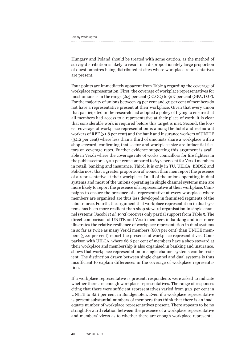Hungary and Poland should be treated with some caution, as the method of survey distribution is likely to result in a disproportionately large proportion of questionnaires being distributed at sites where workplace representatives are present.

Four points are immediately apparent from Table 5 regarding the coverage of workplace representation. First, the coverage of workplace representatives for most unions is in the range 56.3 per cent (CC.OO) to 91.7 per cent (GPA/DJP). For the majority of unions between 25 per cent and 30 per cent of members do not have a representative present at their workplace. Given that every union that participated in the research had adopted a policy of trying to ensure that all members had access to a representative at their place of work, it is clear that considerable work is required before this target is met. Second, the lowest coverage of workplace representation is among the hotel and restaurant workers of RBF (31.8 per cent) and the bank and insurance workers of UNITE (32.2 per cent) where less than a third of unionists share a workplace with a shop steward, confirming that sector and workplace size are influential factors on coverage rates. Further evidence supporting this argument is available in Ver.di where the coverage rate of works councillors for fire fighters in the public sector is 90.1 per cent compared to 65.2 per cent for Ver.di members in retail, banking and insurance. Third, it is only in TU, UILCA, BBDSZ and Solidarność that a greater proportion of women than men report the presence of a representative at their workplace. In all of the unions operating in dual systems and most of the unions operating in single channel systems men are more likely to report the presence of a representative at their workplace. Campaigns to ensure the presence of a representative at every workplace where members are organised are thus less developed in feminised segments of the labour force. Fourth, the argument that workplace representation in dual systems has been more resilient than shop steward organisation in single channel systems (Jacobi *et al*. 1992) receives only partial support from Table 5. The direct comparison of UNITE and Ver.di members in banking and insurance illustrates the relative resilience of workplace representation in dual systems in so far as twice as many Ver.di members (68.9 per cent) than UNITE members (32.2 per cent) report the presence of workplace representatives. Comparison with UILCA, where 66.6 per cent of members have a shop steward at their workplace and membership is also organised in banking and insurance, shows that workplace representation in single channel systems can be resilient. The distinction drawn between single channel and dual systems is thus insufficient to explain differences in the coverage of workplace representation.

If a workplace representative is present, respondents were asked to indicate whether there are enough workplace representatives. The range of responses citing that there were sufficient representatives varied from 51.2 per cent in UNITE to 82.1 per cent in Bondgenoten. Even if a workplace representative is present substantial numbers of members thus think that there is an inadequate number of workplace representatives present. There appears to be no straightforward relation between the presence of a workplace representative and members' views as to whether there are enough workplace representa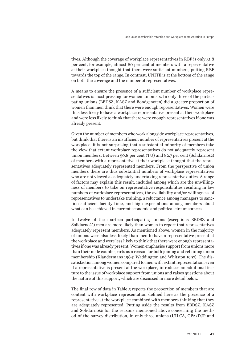tives. Although the coverage of workplace representatives in RBF is only 31.8 per cent, for example, almost 80 per cent of members with a representative at their workplace thought that there were sufficient numbers, putting RBF towards the top of the range. In contrast, UNITE is at the bottom of the range on both the coverage and the number of representatives.

A means to ensure the presence of a sufficient number of workplace representatives is most pressing for women unionists. In only three of the participating unions (BBDSZ, KASZ and Bondgenoten) did a greater proportion of women than men think that there were enough representatives. Women were thus less likely to have a workplace representative present at their workplace and were less likely to think that there were enough representatives if one was already present.

Given the number of members who work alongside workplace representatives, but think that there is an insufficient number of representatives present at the workplace, it is not surprising that a substantial minority of members take the view that extant workplace representatives do not adequately represent union members. Between 50.8 per cent (TU) and 82.7 per cent (Solidarność) of members with a representative at their workplace thought that the representatives adequately represented members. From the perspective of union members there are thus substantial numbers of workplace representatives who are not viewed as adequately undertaking representative duties. A range of factors may explain this result, included among which are the unwillingness of members to take on representative responsibilities resulting in low numbers of workplace representatives, the availability and/or willingness of representatives to undertake training, a reluctance among managers to sanction sufficient facility time, and high expectations among members about what can be achieved in current economic and political circumstances.

In twelve of the fourteen participating unions (exceptions BBDSZ and Solidarność) men are more likely than women to report that representatives adequately represent members. As mentioned above, women in the majority of unions were also less likely than men to have a representative present at the workplace and were less likely to think that there were enough representatives if one was already present. Women emphasise support from unions more than their male counterparts as a reason for both joining and retaining union membership (Klandermans 1984; Waddington and Whitston 1997). The dissatisfaction among women compared to men with extant representation, even if a representative is present at the workplace, introduces an additional feature to the issue of workplace support from unions and raises questions about the nature of this support, which are discussed in more detail below.

The final row of data in Table 5 reports the proportion of members that are content with workplace representation defined here as the presence of a representative at the workplace combined with members thinking that they are adequately represented. Putting aside the results from BBDSZ, KASZ and Solidarność for the reasons mentioned above concerning the method of the survey distribution, in only three unions (UILCA, GPA/DJP and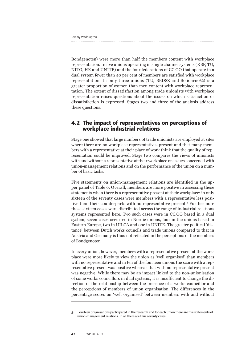Bondgenoten) were more than half the members content with workplace representation. In five unions operating in single channel systems (RBF, TU, NITO, HK and UNITE) and the four federations of CC.OO that operate in a dual system fewer than 40 per cent of members are satisfied with workplace representation. In only three unions (TU, BBDSZ and Solidarność) is a greater proportion of women than men content with workplace representation. The extent of dissatisfaction among trade unionists with workplace representation raises questions about the issues on which satisfaction or dissatisfaction is expressed. Stages two and three of the analysis address these questions.

#### **4.2 The impact of representatives on perceptions of workplace industrial relations**

Stage one showed that large numbers of trade unionists are employed at sites where there are no workplace representatives present and that many members with a representative at their place of work think that the quality of representation could be improved. Stage two compares the views of unionists with and without a representative at their workplace on issues concerned with union-management relations and on the performance of the union on a number of basic tasks.

Five statements on union-management relations are identified in the upper panel of Table 6. Overall, members are more positive in assessing these statements when there is a representative present at their workplace: in only sixteen of the seventy cases were members with a representative less positive than their counterparts with no representative present.5 Furthermore these sixteen cases were distributed across the range of industrial relations systems represented here. Two such cases were in CC.OO based in a dual system, seven cases occurred in Nordic unions, four in the unions based in Eastern Europe, two in UILCA and one in UNITE. The greater political 'distance' between Dutch works councils and trade unions compared to that in Austria and Germany is thus not reflected in the perceptions of the members of Bondgenoten.

In every union, however, members with a representative present at the workplace were more likely to view the union as 'well organised' than members with no representative and in ten of the fourteen unions the score with a representative present was positive whereas that with no representative present was negative. While there may be an impact linked to the non-unionisation of some works councillors in dual systems, it is insufficient to change the direction of the relationship between the presence of a works councillor and the perceptions of members of union organisation. The differences in the percentage scores on 'well organised' between members with and without

<sup>5.</sup> Fourteen organisations participated in the research and for each union there are five statements of union-management relations. In all there are thus seventy cases.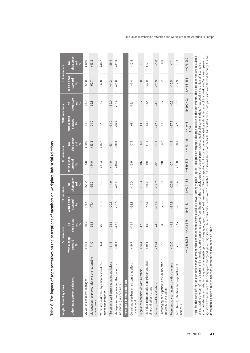| Single-channel systems                                                                                                                                                                                                                                                                                                                                                                                                                                                                                 |                                        | Sif members                        |                               | <b>RBF</b> members           |                               | TU members                                                                                                                                         |                               | NITO members                                   | HK members                         |                                           |
|--------------------------------------------------------------------------------------------------------------------------------------------------------------------------------------------------------------------------------------------------------------------------------------------------------------------------------------------------------------------------------------------------------------------------------------------------------------------------------------------------------|----------------------------------------|------------------------------------|-------------------------------|------------------------------|-------------------------------|----------------------------------------------------------------------------------------------------------------------------------------------------|-------------------------------|------------------------------------------------|------------------------------------|-------------------------------------------|
| Union-management relations                                                                                                                                                                                                                                                                                                                                                                                                                                                                             | 읔<br>With a sho<br>steward<br>$\delta$ | shop stew-<br>ş<br>ard<br>$\delta$ | With a shop<br>steward<br>್ಥೆ | shop stew-<br>ž<br>ard<br>se | With a shop<br>steward<br>್ಥೆ | shop stew-<br>ş<br>ard<br>್ಥೆ                                                                                                                      | With a shop<br>steward<br>್ಥೆ | shop stew-<br>$\frac{9}{2}$<br>ard<br>$\delta$ | With a shop<br>steward<br>$\delta$ | shop stew-<br>ž<br><b>Pue</b><br>$\delta$ |
| My workplace is well managed                                                                                                                                                                                                                                                                                                                                                                                                                                                                           | $+64.4$                                | $+40.7$                            | $+71.4$                       | $+53.2$                      | $+5.0$                        | $+10.0$                                                                                                                                            | $+61.2$                       | $+63.0$                                        | $+55.0$                            | $+40.0$                                   |
| Management-employee relations are reasonable<br>where I work                                                                                                                                                                                                                                                                                                                                                                                                                                           | $+71.0$                                | $+58.8$                            | $+71.4$                       | $+55.2$                      | $+44.0$                       | $+53.2$                                                                                                                                            | $+71.0$                       | $+69.8$                                        | $+60.7$                            | $+43.2$                                   |
| Within my workplace my union has too little<br>power and influence                                                                                                                                                                                                                                                                                                                                                                                                                                     | $-6.4$                                 | $+6.0$                             | $-50.8$                       | $-5.7$                       | $+31.4$                       | $+36.2$                                                                                                                                            | $+32.0$                       | $+33.2$                                        | $+32.8$                            | $+48.2$                                   |
| The union is well organised at my workplace                                                                                                                                                                                                                                                                                                                                                                                                                                                            | $+51.6$                                | $-28.6$                            | $+70.5$                       | $-14.0$                      | $+11.0$                       | $-63.1$                                                                                                                                            | $+51.0$                       | $-39.0$                                        | $+44.2$                            | $-29.4$                                   |
| Management has prevented the union from<br>influenc-ing key decisions                                                                                                                                                                                                                                                                                                                                                                                                                                  | $-58.2$                                | $-72.8$                            | $-46.6$                       | $-45.8$                      | $-49.4$                       | $-78.4$                                                                                                                                            | $-36.2$                       | $-45.9$                                        | $-46.8$                            | $-47.8$                                   |
| How good is the union at:                                                                                                                                                                                                                                                                                                                                                                                                                                                                              |                                        |                                    |                               |                              |                               |                                                                                                                                                    |                               |                                                |                                    |                                           |
| Consulting members on matters that affect<br>them at work                                                                                                                                                                                                                                                                                                                                                                                                                                              | $+19.7$                                | $+11.7$                            | $+38.1$                       | $+17.0$                      | $-13.9$                       | $-7.4$                                                                                                                                             | $+6.1$                        | $-16.4$                                        | $+7.4$                             | $-12.8$                                   |
| Regular communication with members                                                                                                                                                                                                                                                                                                                                                                                                                                                                     | $+24.4$                                | $-12.8$                            | $+39.6$                       | $+16.3$                      | $-0.6$                        | $-6.9$                                                                                                                                             | $+13.8$                       | $-5.2$                                         | $+10.0$                            | $-13.1$                                   |
| Individual representation on grievances, disci-<br>pline and other matters                                                                                                                                                                                                                                                                                                                                                                                                                             | $+29.3$                                | $+15.4$                            | $+47.6$                       | $+45.9$                      | $+9.0$                        | $-1.5$                                                                                                                                             | $+33.4$                       | $+4.4$                                         | $+37.0$                            | $+17.1$                                   |
| Ensuring health and safety                                                                                                                                                                                                                                                                                                                                                                                                                                                                             | $+23.4$                                | $+4.0$                             | $+23.9$                       | $+12.7$                      | $-9.1$                        | $-1.3$                                                                                                                                             | $+27.1$                       | $+1.3$                                         | $+25.9$                            | $+5.0$                                    |
| Encouraging participation in the democratic<br>processes of the union                                                                                                                                                                                                                                                                                                                                                                                                                                  | $-7.2$                                 | $-4.8$                             | $+20.6$                       | 0.0                          | $-9.8$                        | $-4.2$                                                                                                                                             | $+11.3$                       | $-5.2$                                         | $-0.2$                             | $-4.9$                                    |
| Representing your interests within the union                                                                                                                                                                                                                                                                                                                                                                                                                                                           | $+12.0$                                | $+1.8$                             | $+34.9$                       | $+20.8$                      | $+2.1$                        | $-1.3$                                                                                                                                             | $+27.2$                       | $+0.5$                                         | $+15.5$                            | $\frac{1}{1}$                             |
| Recruitment, retention and organisation of<br>members                                                                                                                                                                                                                                                                                                                                                                                                                                                  | $\frac{1}{1}$                          | $-2.7$                             | $+25.3$                       | $+0.4$                       | $+11.0$                       | $-0.8$                                                                                                                                             | $+7.0$                        | -5.5                                           | $+12.9$                            | $-3.3$                                    |
|                                                                                                                                                                                                                                                                                                                                                                                                                                                                                                        | $N=1,0501,058$                         | $N = 372 - 376$                    | $N = 61 - 63$                 | $N = 131 - 135$              | $N = 859 - 871$               | $N=478-486$                                                                                                                                        | $N=1,046-$<br>1,054           | $N = 390 - 402$                                | $N=453-458$                        | $N = 278 - 280$                           |
| Note: for the panel of the table on union-management relations respondents were asked to answer 'strongly agree', 'disagree' or 'strongly disagree' to each of the statements. The data reported are calculated<br>intermediate' was included in the question alongside options of 'very good', 'weak' and 'very weak'. The data reported for this panel were calculated by subtracting sum of the 'weak' and 'very weak' percent-<br>by subtracting the sum of the 'disagree' and 'strongly disagree' |                                        |                                    |                               |                              |                               | percentage scores from the sum of the 'strongly agree' and 'agree' percentage scores. For the panel entitled 'how good is the union at' a category |                               |                                                |                                    |                                           |

Table 6 The impact of representatives on the perceptions of members on workplace industrial relations Table 6 The impact of representatives on the perceptions of members on workplace industrial relations 'intermediate' was included in the question alongside options of 'very good,' good', 'weak' and 'very weak' and'weak' and yery good' good', 'weak' options of the weak' and 'very weak' percent-<br>age scores from the sum of th age scores from the sum of the 'very good' and 'good' percentage scores. The 'intermediate' scores were discounted in the second section of the table. As the data for the two panels are calculated differently it is not appropriate to make direct comparisons between the two panels of Table 6.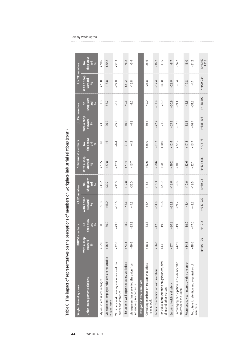| Single-channel systems                                                     | <b>BBDSZ</b> members               |                                          | KASZ members                         |                                          | Solidarność members                       |                                          |                                    | UILCA members                      | UNITE members                |                                     |
|----------------------------------------------------------------------------|------------------------------------|------------------------------------------|--------------------------------------|------------------------------------------|-------------------------------------------|------------------------------------------|------------------------------------|------------------------------------|------------------------------|-------------------------------------|
| Union-management relations                                                 | With a shop<br>steward<br>$\delta$ | shop stew-<br>$\frac{1}{2}$<br>ard<br>So | <b>Nith a shop</b><br>steward<br>್ಠೆ | shop stew-<br>$\frac{1}{2}$<br>ard<br>৽৽ | <b>Nith a shop</b><br>steward<br>$\delta$ | shop stew-<br>$\frac{1}{2}$<br>ard<br>৽৽ | Vith a shop<br>steward<br>$\delta$ | shop stew-<br>ž<br>ard<br>$\delta$ | Vith a shop<br>steward<br>್ಯ | shop stew-<br>ž<br><b>Pue</b><br>So |
| My workplace is well managed                                               | $+62.0$                            | $+50.0 +$                                | $+50.8$                              | $+36.2$                                  | $+21.5$                                   | $-3.0$                                   | $+3.0$                             | $+37.8$                            | $+21.8$                      | $+20.6$                             |
| Management-employee relations are reasonable<br>where I work               | $+56.6$                            | $+60.0$                                  | $+41.0$                              | $+39.2$                                  | $+27.8$                                   | $-1.6$                                   | $+26.2$                            | $+56.7$                            | $+18.8$                      | $+20.2$                             |
| Within my workplace my union has too little<br>power and influence         | $+32.6$                            | $+29.8$                                  | $+36.6$                              | $+35.0$                                  | $+27.3$                                   | $+6.4$                                   | $-35.1$                            | $-5.2$                             | $+27.0$                      | $+52.3$                             |
| The union is well organised at my workplace                                | $+73.3$                            | $+48.9$                                  | $+48.6$                              | $+12.8$                                  | $+71.4$                                   | .21.8                                    | $+50.4$                            | $+40.6$                            | $+21.2$                      | $-76.2$                             |
| Management has prevented the union from<br>influenc-ing key decisions      | $-49.6$                            | $-33.3$                                  | $-44.3$                              | $-32.0$                                  | $-13.7$                                   | $-4.2$                                   | $-4.8$                             | $-3.2$                             | $-15.8$                      | $-5.4$                              |
| How good is the union at:                                                  |                                    |                                          |                                      |                                          |                                           |                                          |                                    |                                    |                              |                                     |
| Consulting members on matters that affect<br>them at work                  | $+48.5$                            | $+33.3$                                  | $+56.4$                              | $+18.5$                                  | $+62.6$                                   | $+25.0$                                  | $+69.5$                            | $+49.0$                            | $+25.8$                      | $-25.6$                             |
| Regular communication with members                                         | $+56.0$                            | $+42.8$                                  | $+54.8$                              | $+16.3$                                  | $+59.6$                                   | $+31.2$                                  | $+72.2$                            | $+32.9$                            | $+17.4$                      | $-36.7$                             |
| Individual representation on grievances, disci-<br>pline and other matters | $+43.1$                            | $+19.0$                                  | $+50.8$                              | $+23.9$                                  | $+60.1$                                   | $+10.0$                                  | $+71.0$                            | $+28.9$                            | $+49.0$                      | $+1.5$                              |
| Ensuring health and safety                                                 | $+57.1$                            | $+30.8$                                  | $+39.8$                              | $+13.0$                                  | $+39.2$                                   | $+12.4$                                  | $+63.2$                            | $+50.9$                            | $+29.0$                      | $-8.7$                              |
| Encouraging participation in the democratic<br>processes of the union      | $+42.9$                            | $+19.0$                                  | $+21.2$                              | $-9.8$                                   | $+30.1$                                   | $+22.5$                                  | $+52.3$                            | $+21.1$                            | $+3.4$                       | $-24.2$                             |
| Representing your interests within the union                               | $+54.2$                            | $+19.2$                                  | $+45.4$                              | $+12.0$                                  | $+52.6$                                   | $+17.5$                                  | $+58.5$                            | $+42.1$                            | $+17.8$                      | $-18.0$                             |
| Recruitment, retention and organisation of<br>members                      | $+48.6$                            | $+47.6$                                  | $+42.3$                              | $+19.6$                                  | $+32.1$                                   | $+13.7$                                  | $+46.4$                            | $+31.3$                            | $-41$                        | $-31.2$                             |
|                                                                            | $N = 107 - 109$                    | $N = 19 - 21$                            | $N = 917 - 922$                      | $N = 80 - 92$                            | $N = 671 - 675$                           | $N = 75 - 78$                            | $N = 388 - 406$                    | $N = 188 - 202$                    | $N = 900 - 934$              | $N=1,760-1,818$                     |

Table 6 The impact of representatives on the perceptions of members on workplace industrial relations (cont.) Table 6 The impact of representatives on the perceptions of members on workplace industrial relations (cont.)

# Jeremy Waddington

**44** WP 2014.10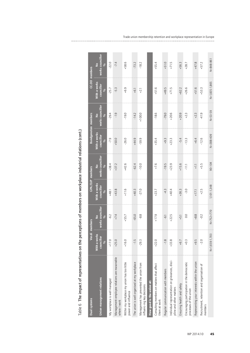| Dual systems                                                               |                                                     | <b>Jer.di</b> members                    |                                  | <b>GPA/DJP</b> members                        |                                          | <b>Bondgenoten members</b>                   | CC.00 members                   |                                               |
|----------------------------------------------------------------------------|-----------------------------------------------------|------------------------------------------|----------------------------------|-----------------------------------------------|------------------------------------------|----------------------------------------------|---------------------------------|-----------------------------------------------|
| Union-management relations                                                 | With a works<br>$\frac{1}{2}$<br>council<br>s<br>So | works councillor<br>$\frac{1}{2}$<br>್ಥೆ | With a works<br>councillor<br>se | works councillor<br>$\frac{1}{2}$<br>$\delta$ | With a works<br>councillor<br>$\sqrt{6}$ | works councillor<br>$\frac{1}{2}$<br>s<br>So | With a works<br>councillor<br>% | vorks councillor<br>$\frac{1}{2}$<br>$\delta$ |
| My workplace is well managed                                               | $+17.0$                                             | $-6.2$                                   | $+48.1$                          | $+38.4$                                       | $-7.9$                                   | $-29.4$                                      | $-25.7$                         | $-22.0$                                       |
| Management-employee relations are reasonable<br>where I work               | $+25.0$                                             | $+7.4$                                   | $+43.8$                          | $+37.2$                                       | $+50.0$                                  | $-1.9$                                       | $-5.3$                          | $-7.4$                                        |
| Within my workplace my union has too little<br>power and influence         | $+16.0$                                             | $+55.7$                                  | $+11.6$                          | $+42.6$                                       | $-26.0$                                  | $-19.0$                                      | $+6.9$                          | $+58.6$                                       |
| The union is well organised at my workplace                                | $-1.5$                                              | $-65.0$                                  | $+40.3$                          | $-62.4$                                       | $+44.9$                                  | $-14.2$                                      | $+6.1$                          | $-73.2$                                       |
| Management has prevented the union from<br>influenc-ing key decisions      | $-29.3$                                             | $-8.8$                                   | $-27.0$                          | $-10.0$                                       | $-59.9$                                  | $+100.0$                                     | $+2.1$                          | $-18.2$                                       |
| How good is the union at:                                                  |                                                     |                                          |                                  |                                               |                                          |                                              |                                 |                                               |
| Consulting members on matters that affect<br>them at work                  | $+22.0$                                             | $+17.9$                                  | $+23.7$                          | $+7.6$                                        | $+35.4$                                  | $-18.6$                                      | $+51.6$                         | $+55.4$                                       |
| Regular communication with members                                         | $-1.8$                                              | $-6 -$                                   | $-4.3$                           | $-19.5$                                       | $+9.3$                                   | $-79.0$                                      | $+49.5$                         | $+51.0$                                       |
| Individual representation on grievances, disci-<br>pline and other matters | $+33.8$                                             | $+22.5$                                  | $+40.4$                          | $+23.9$                                       | $+23.3$                                  | $+20.6$                                      | $+71.5$                         | $+71.5$                                       |
| Ensuring health and safety                                                 | $+6.7$                                              | $+5.1$                                   | $+36.3$                          | $+15.6$                                       | $-5.4$                                   | $+20.9$                                      | $+62.2$                         | $+56.3$                                       |
| Encouraging participation in the democratic<br>processes of the union      | $+0.3$                                              | 0.0                                      | $-3.0$                           | $-11.1$                                       | $-13.3$                                  | $+2.3$                                       | $+26.6$                         | $+28.7$                                       |
| Representing your interests within the union                               | $+9.5$                                              | $+8.8$                                   | $+17.1$                          | $-11$                                         | $+6.4$                                   | $+2.3$                                       | $+51.6$                         | $+47.8$                                       |
| Recruitment, retention and organisation of<br>members                      | $-2.0$                                              | $-0.2$                                   | $+2.5$                           | $-5.5 +$                                      | $-12.6$                                  | $-41.9$                                      | $+53.3$                         | $+57.2$                                       |
|                                                                            | $N=1,659-1,703$                                     | $N = 752 = 770$                          | $1,101 - 1,348$                  | 90-104                                        | $N = 388 - 409$                          | $N = 53 - 59$                                | $N=1,835-1,865$                 | $N = 848 - 861$                               |

Table 6 The impact of representatives on the perceptions of members on workplace industrial relations (cont.) Table 6 The impact of representatives on the perceptions of members on workplace industrial relations (cont.)

Trade union membership retention and workplace representation in Europe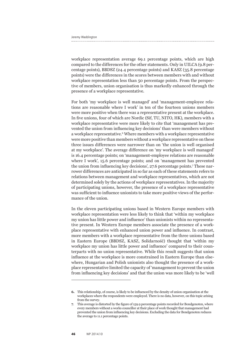workplace representation average 69.1 percentage points, which are high compared to the differences for the other statements. Only in UILCA (9.8 percentage points), BBDSZ (24.4 percentage points) and KASZ (35.8 percentage points) were the differences in the scores between members with and without workplace representation less than 50 percentage points. From the perspective of members, union organisation is thus markedly enhanced through the presence of a workplace representative.

For both 'my workplace is well managed' and 'management-employee relations are reasonable where I work' in ten of the fourteen unions members were more positive when there was a representative present at the workplace. In five unions, four of which are Nordic (Sif, TU, NITO, HK), members with a workplace representative were more likely to cite that 'management has prevented the union from influencing key decisions' than were members without a workplace representative.<sup>6</sup> Where members with a workplace representative were more positive than members without a workplace representative on these three issues differences were narrower than on 'the union is well organised at my workplace'. The average difference on 'my workplace is well managed' is 16.4 percentage points; on 'management-employee relations are reasonable where I work', 15.6 percentage points; and on 'management has prevented the union from influencing key decisions', 27.6 percentage points.<sup>7</sup> These narrower differences are anticipated in so far as each of these statements refers to relations between management and workplace representatives, which are not determined solely by the actions of workplace representatives. In the majority of participating unions, however, the presence of a workplace representative was sufficient to influence unionists to take more positive views of the performance of the union.

In the eleven participating unions based in Western Europe members with workplace representation were less likely to think that 'within my workplace my union has little power and influence' than unionists within no representative present. In Western Europe members associate the presence of a workplace representative with enhanced union power and influence. In contrast, more members with a workplace representative from the three unions based in Eastern Europe (BBDSZ, KASZ, Solidarność) thought that 'within my workplace my union has little power and influence' compared to their counterparts with no union representative. While this result suggests that union influence at the workplace is more constrained in Eastern Europe than elsewhere, Hungarian and Polish unionists also thought the presence of a workplace representative limited the capacity of 'management to prevent the union from influencing key decisions' and that the union was more likely to be 'well

**<sup>6.</sup>** This relationship, of course, is likely to be influenced by the density of union organisation at the workplaces where the respondents were employed. There is no data, however, on this topic arising from the survey.

<sup>7.</sup> This average is distorted by the figure of 159.9 percentage points recorded for Bondgenoten, where every members without a works councillor at their place of work thought that management had prevented the union from influencing key decisions. Excluding the data for Bondgenoten reduces the average to 11.1 percentage points.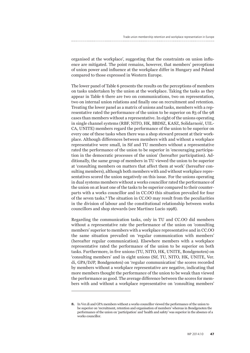organised at the workplace', suggesting that the constraints on union influence are mitigated. The point remains, however, that members' perceptions of union power and influence at the workplace differ in Hungary and Poland compared to those expressed in Western Europe.

The lower panel of Table 6 presents the results on the perceptions of members on tasks undertaken by the union at the workplace. Taking the tasks as they appear in Table 6 there are two on communications, two on representation, two on internal union relations and finally one on recruitment and retention. Treating the lower panel as a matrix of unions and tasks, members with a representative rated the performance of the union to be superior on 83 of the 98 cases than members without a representative. In eight of the unions operating in single channel systems (RBF, NITO, HK, BBDSZ, KASZ, Solidarność, UIL-CA, UNITE) members regard the performance of the union to be superior on every one of these tasks when there was a shop steward present at their workplace. Although differences between members with and without a workplace representative were small, in Sif and TU members without a representative rated the performance of the union to be superior in 'encouraging participation in the democratic processes of the union' (hereafter participation). Additionally, the same group of members in TU viewed the union to be superior at 'consulting members on matters that affect them at work' (hereafter consulting members), although both members with and without workplace representatives scored the union negatively on this issue. For the unions operating in dual systems members without a works councillor rated the performance of the union on at least one of the tasks to be superior compared to their counterparts with a works councillor and in CC.OO this situation prevailed for four of the seven tasks.8 The situation in CC.OO may result from the peculiarities in the division of labour and the constitutional relationship between works councillors and shop stewards (see Martínez Lucio 1998).

Regarding the communication tasks, only in TU and CC.OO did members without a representative rate the performance of the union on 'consulting members' superior to members with a workplace representative and in CC.OO the same situation prevailed on 'regular communication with members' (hereafter regular communication). Elsewhere members with a workplace representative rated the performance of the union to be superior on both tasks. Furthermore, in five unions (TU, NITO, HK, UNITE, Bondgenoten) on 'consulting members' and in eight unions (Sif, TU, NITO, HK, UNITE, Ver. di, GPA/DJP, Bondgenoten) on 'regular communication' the scores recorded by members without a workplace representative are negative, indicating that more members thought the performance of the union to be weak than viewed the performance as good. The average difference between the scores for members with and without a workplace representative on 'consulting members'

**<sup>8.</sup>** In Ver.di and GPA members without a works councillor viewed the performance of the union to be superior on 'recruitment, retention and organisation of members' whereas in Bondgenoten the performance of the union on 'participation' and 'health and safety' was superior in the absence of a works councillor.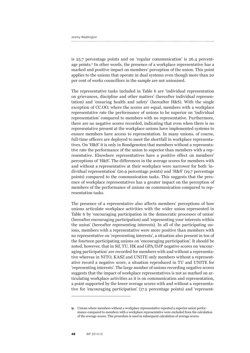is 25.7 percentage points and on 'regular communication' is 26.4 percentage points.9 In other words, the presence of a workplace representative has a marked and positive impact on members' perception of the union. This point applies to the unions that operate in dual systems even though more than 20 per cent of works councillors in the sample are not unionised.

The representative tasks included in Table 6 are 'individual representation on grievances, discipline and other matters' (hereafter individual representation) and 'ensuring health and safety' (hereafter H&S). With the single exception of CC.OO, where the scores are equal, members with a workplace representative rate the performance of unions to be superior on 'individual representation' compared to members with no representative. Furthermore, there are no negative scores recorded, indicating that even when there is no representative present at the workplace unions have implemented systems to ensure members have access to representation. In many unions, of course, full-time officers are deployed to meet the shortfall in workplace representatives. On 'H&S' it is only in Bondgenoten that members without a representative rate the performance of the union to superior than members with a representative. Elsewhere representatives have a positive effect on members' perceptions of 'H&S'. The differences in the average scores for members with and without a representative at their workplace were narrower for both 'individual representation' (20.9 percentage points) and 'H&S' (19.7 percentage points) compared to the communication tasks. This suggests that the presence of workplace representatives has a greater impact on the perception of members of the performance of unions on communication compared to representation tasks.

The presence of a representative also affects members' perceptions of how unions articulate workplace activities with the wider union represented in Table 6 by 'encouraging participation in the democratic processes of union' (hereafter encouraging participation) and 'representing your interests within the union' (hereafter representing interests). In all of the participating unions, members with a representative were more positive than members with no representative on 'representing interests', a situation also present in ten of the fourteen participating unions on 'encouraging participation'. It should be noted, however, that in Sif, TU, HK and GPA/DJP negative scores on 'encouraging participation' are recorded for members with and without a representative whereas in NITO, KASZ and UNITE only members without a representative record a negative score, a situation reproduced in TU and UNITE for 'representing interests'. The large number of unions recording negative scores suggests that the impact of workplace representatives is not as marked on articulating workplace activities as it is on communication and representation, a point supported by the lower average scores with and without a representative for 'encouraging participation' (17.2 percentage points) and 'represent-

**<sup>9.</sup>** Unions where members without a workplace representative reported a superior union performance compared to members with a workplace representative were excluded from the calculation of the average scores. This procedure is used in subsequent calculation of average scores.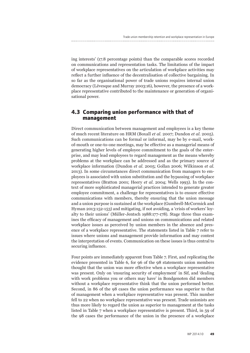ing interests' (17.8 percentage points) than the comparable scores recorded on communications and representation tasks. The limitations of the impact of workplace representatives on the articulation of workplace activities may reflect a further influence of the decentralisation of collective bargaining. In so far as the organisational power of trade unions requires internal union democracy (Lévesque and Murray 2003:16), however, the presence of a workplace representative contributed to the maintenance or generation of organisational power.

#### **4.3 Comparing union performance with that of management**

Direct communication between management and employees is a key theme of much recent literature on HRM (Boxall *et al*. 2007; Dundon *et al*. 2005). Such communications can be formal or informal, may be by e-mail, workof-mouth or one-to-one meetings, may be effective as a managerial means of generating higher levels of employee commitment to the goals of the enterprise, and may lead employees to regard management as the means whereby problems at the workplace can be addressed and as the primary source of workplace information (Dundon *et al*. 2005; Gollan 2006; Wilkinson *et al*. 2013). In some circumstances direct communication from managers to employees is associated with union substitution and the bypassing of workplace representatives (Bratton 2001; Heery *et al*. 2004; Wells 1993). In the context of more sophisticated managerial practices intended to generate greater employee commitment, a challenge for representatives is to ensure effective communications with members, thereby ensuring that the union message and a union purpose is sustained at the workplace (Gumbrell-McCormick and Hyman 2013:152-153) and mitigating, if not avoiding, a 'crisis of workers' loyalty to their unions' (Müller-Jentsch 1988:177-178). Stage three thus examines the efficacy of management and unions on communications and related workplace issues as perceived by union members in the absence and presence of a workplace representative. The statements listed in Table 7 refer to issues where unions and management provide information and may contest the interpretation of events. Communication on these issues is thus central to securing influence.

Four points are immediately apparent from Table 7. First, and replicating the evidence presented in Table 6, for 96 of the 98 statements union members thought that the union was more effective when a workplace representative was present. Only on 'ensuring security of employment' in Sif, and 'dealing with work problems you or others may have' in Bondgenoten did members without a workplace representative think that the union performed better. Second, in 86 of the 98 cases the union performance was superior to that of management when a workplace representative was present. This number fell to 22 when no workplace representative was present. Trade unionists are thus more likely to regard the union as superior to management at the tasks listed in Table 7 when a workplace representative is present. Third, in 59 of the 98 cases the performance of the union in the presence of a workplace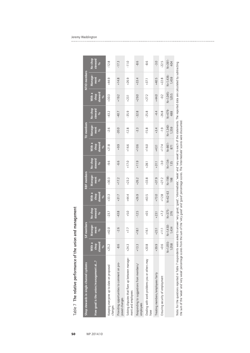| Shop stewards in single-channel systems                                                                                                                                                                                                                                                                                                                                        |                                     | Sif members                 |                                       |                                      | <b>RBF</b> members         |                                     |                                  | TU members            |                                |                                       | NTIO members               |                              |
|--------------------------------------------------------------------------------------------------------------------------------------------------------------------------------------------------------------------------------------------------------------------------------------------------------------------------------------------------------------------------------|-------------------------------------|-----------------------------|---------------------------------------|--------------------------------------|----------------------------|-------------------------------------|----------------------------------|-----------------------|--------------------------------|---------------------------------------|----------------------------|------------------------------|
| How good is the union/management at?                                                                                                                                                                                                                                                                                                                                           | shop<br>steward<br>$\omega$<br>jith | Manage-<br>ment<br>$\delta$ | <b>Jo shop</b><br>steward<br>$\delta$ | Nith a<br>stewar<br>shop<br>$\delta$ | Manage-<br>ment<br>s<br>So | No shop<br>steward<br>$\frac{1}{2}$ | Nith a<br>steward<br>shop<br>್ಥೆ | Manage-<br>ment<br>So | No shop<br>steward<br>$\delta$ | steward<br>Nith a<br>shop<br>$\delta$ | Manage-<br>ment<br>s<br>So | No shop<br>steward<br>s<br>S |
| Keeping everyone up to date on proposed<br>changes                                                                                                                                                                                                                                                                                                                             | $+25.2$                             | $+42.0$                     | $-23.7$                               | $+33.3$                              | $+30.3$                    | $-9.6$                              | $+21.8$                          | $-2.6$                | $-43.2$                        | $+30.3$                               | $+44.9$                    | $-12.8$                      |
| Providing opportunities to comment on pro-<br>posed changes                                                                                                                                                                                                                                                                                                                    | $-8.6$                              | $-2.6$                      | $-43.8$                               | $+31.7$                              | $+17.2$                    | $-6.6$                              | $+9.9$                           | $-20.0$               | $-40.7$                        | $+19.2$                               | $+14.8$                    | $-17.3$                      |
| Solving disputes that flare up between manage-<br>ment and employees                                                                                                                                                                                                                                                                                                           | $+24.3$                             | $-7.7$                      | $+5.0$                                | $+44.4$                              | $+23.2$                    | $+17.0$                             | $+16.6$                          | $-12.8$               | $-35.9$                        | $+23.1$                               | $+26.9$                    | $-11.0$                      |
| Responding to suggestions from members/<br>employees                                                                                                                                                                                                                                                                                                                           | $\infty$<br>$+13.$                  | $+18.1$                     | $-12.5$                               | $+26.9$                              | $+26.2$                    | $+11.9$                             | $+10.6$                          | -3.3                  | $-32.8$                        | $+29.0$                               | $+33.4$                    | $-8.6$                       |
| Dealing with work problems you or others may<br>have                                                                                                                                                                                                                                                                                                                           | $+20.8$                             | $+16.1$                     | $+0.5$                                | $+63.5$                              | $+33.8$                    | $+28.1$                             | $+16.0$                          | $-15.8$               | $-25.8$                        | $+27.2$                               | $+37.1$                    | $-8.6$                       |
| Treating members/employees fairly                                                                                                                                                                                                                                                                                                                                              | $+39.9$                             | $+23.1$                     | $+23.1$                               | $+73.0$                              | $+37.9$                    | $+31.1$                             | $+43.1$                          | $+3.4$                | $-4.4$                         | $+44.0$                               | $+40.5$                    | $-3.0$                       |
| Ensuring security of employment                                                                                                                                                                                                                                                                                                                                                | $+0.6$                              | $+111$                      | $+7.2$                                | $+12.8$                              | $+27.2$                    | $-3.0$                              | $+17.4$                          | $-1.9$                | $-26.8$                        | $-0.2$                                | $+22.8$                    | $-22.5$                      |
|                                                                                                                                                                                                                                                                                                                                                                                | $N=1,055-$<br>$\infty$<br>1,05      | $N=1,430-$<br>1,434         | $N = 375 -$<br>376                    | $N = 62 - 63$                        | $N = 196 -$<br>198         | $N = 134 -$<br>135                  | $N = 861 -$<br>871               | $N=1,340-$<br>1,359   | $N=479$<br>488                 | $N=1,045-$<br>1,055                   | $N=1,436-$<br>1,459        | $N = 391 -$<br>404           |
| Note: For the questions reported in Table 7 respondents were asked to answer 'very good, 'intermediate', 'weak' and 'very weak' to each of the statements. The reported data are calculated by subtracting<br>the sum of the 'weak' and 'very weak' percentage scores from the sum of the 'very good' pard 'good' percentage scores. The 'intermediate' scores were discounted |                                     |                             |                                       |                                      |                            |                                     |                                  |                       |                                |                                       |                            |                              |

| ואומה המה מההמהמה<br>١ |
|------------------------|
|                        |
| $\frac{1}{2}$          |
|                        |
| . antormono of the     |
|                        |
|                        |
| I                      |

**50** WP 2014.10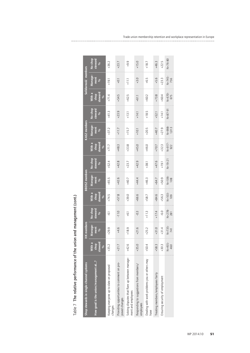| Shop stewards in single-channel systems                              |                                         | <b>HK</b> members           |                                |                                       | <b>BBDSZ</b> members        |                                |                                       | KASZ members                     |                                |                                       | Solidarność members   |                                |
|----------------------------------------------------------------------|-----------------------------------------|-----------------------------|--------------------------------|---------------------------------------|-----------------------------|--------------------------------|---------------------------------------|----------------------------------|--------------------------------|---------------------------------------|-----------------------|--------------------------------|
| How good is the union/management at?                                 | With a<br>shop<br>steward<br>$\sqrt{6}$ | Manage-<br>ment<br>$\delta$ | do shop<br>steward<br>$\delta$ | Vith a<br>steward<br>shop<br>$\delta$ | Manage-<br>ment<br>$\delta$ | lo shop<br>steward<br>$\delta$ | steward<br>Vith a<br>shop<br>$\delta$ | Manage-<br>ment<br>$\frac{6}{6}$ | do spob<br>steward<br>$\delta$ | steward<br>With a<br>shop<br>$\delta$ | Manage-<br>ment<br>್ಯ | No shop<br>steward<br>$\delta$ |
| Keeping everyone up to date on proposed<br>changes                   | $+35.2$                                 | $+29.9$                     | ြ                              | $+74.5$                               | $+65.5$                     | $+52.4$                        | $+71.7$                               | $+37.2$                          | $+41.3$                        | $+71.4$                               | $+19.1$               | $+36.2$                        |
| Providing opportunities to comment on pro-<br>posed changes          | $+21.7$                                 | $+4.6$                      | $-11.0$                        | $+57.8$                               | $+42.6$                     | $+42.8$                        | $+48.3$                               | $+11.7$                          | $+23.9$                        | $+54.5$                               | $\overline{Q}$        | $+23.7$                        |
| Solving disputes that flare up between manage-<br>ment and employees | $+42.6$                                 | $+18.9$                     | $-5$                           | $+39.0$                               | $+40.7$                     | $+23.7$                        | $+33.8$                               | $+15.7$                          | $+13.1$                        | $+62.5$                               | $\frac{11}{11}$       | $+9.9$                         |
| Responding to suggestions from members/<br>employees                 | $+35.0$                                 | $+21.6$                     | $-0.3$                         | $+66.6$                               | $+44.4$                     | $+42.9$                        | $+45.0$                               | $+10.1$                          | $+14.1$                        | $-61.1$                               | $+3.0$                | $+15.0$                        |
| Dealing with work problems you or others may<br>have                 | $+50.4$                                 | $+25.2$                     | $+11.3$                        | $+58.7$                               | $+46.3$                     | $+38.1$                        | $+46.0$                               | $+20.5$                          | $+18.5$                        | $+60.2$                               | $-6.5$                | $+18.7$                        |
| Treating members/employees fairly                                    | $+58.3$                                 | $+31.0$                     | $+17.4$                        | $+84.6$                               | $+64.7$                     | $+47.6$                        | $+70.7$                               | $+40.7$                          | $+52.1$                        | $+73.8$                               | $+5.6$                | $+46.3$                        |
| Ensuring security of employment                                      | $+30.3$                                 | $+31.4$                     | $-6.0$                         | $+56.3$                               | $-50.9$                     | $+19.1$                        | $+32.3$                               | $+27.9$                          | $+14.1$                        | $+60.4$                               | $+23.3$               | $+22.5$                        |
|                                                                      | $N=455-$<br>460                         | $N = 735 -$<br>741          | $N = 278$<br>281               | $N = 103 -$<br>109                    | $N = 106 -$<br>108          | $N = 19 - 21$                  | $N=917-$<br>922                       | $N = 998 -$<br>1,013             | $N = 87 - 91$                  | $N = 670 -$<br>675                    | $N = 745 -$<br>756    | $V = 76 - 80$                  |
|                                                                      |                                         |                             |                                |                                       |                             |                                |                                       |                                  |                                |                                       |                       |                                |

Table 7 The relative performance of the union and management (cont.) Table 7 The relative performance of the union and management (cont.)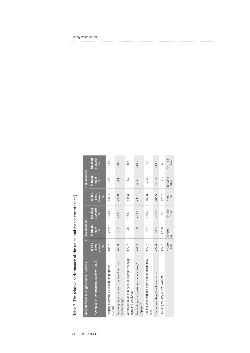| No shop<br>$N=1,763-$<br>steward<br>-6.6<br>$-24.6$<br>$-1.9$<br>$+13.5$<br>-9.5<br>se<br>$-30.1$<br>$-14.1$<br>UNITE members<br>Manage-<br>$N=2,845-$<br>ment<br>$+17.6$<br>$+26.9$<br>$+34.4$<br>$+8.2$<br>$+22.3$<br>$+20.5$<br>$\delta$<br>H<br>$N = 901 -$<br>shop<br>steward<br>With a<br>$+28.0$<br>$+45.8$<br>$+53.8$<br>$+66.5$<br>$+35.4$<br>$+29.7$<br>%<br>$+34.1$<br>Table 7 The relative performance of the union and management (cont.)<br>No shop<br>steward<br>$N = 189 -$<br>$+49.5$<br>$+78.4$<br>$+58.3$<br>$+56.9$<br>$+65.7$<br>$+60.1$<br>se<br>$+68.1$<br>UILCA members<br>Manage-<br>ment<br>$+25.9$<br>$-0.5$<br>$+9.6$<br>$+4.5$<br>0.0<br>$+6.4$<br>$+21.8$<br>$N = 606 -$<br>$\frac{6}{6}$<br>shop<br>steward<br>$N = 389 -$<br>With a<br>$+84.2$<br>$+63.8$<br>$+74.4$<br>$+72.7$<br>$+59.7$<br>$+72.7$<br>$+72.7$<br>se<br>Solving disputes that flare up between manage-<br>Dealing with work problems you or others may<br>How good is the union/management at?<br>Providing opportunities to comment on pro-<br>Shop stewards in single-channel systems<br>Responding to suggestions from members/<br>Keeping everyone up to date on proposed<br>Treating members/employees fairly<br>Ensuring security of employment<br>ment and employees<br>posed changes<br>employees<br>changes<br>have |
|--------------------------------------------------------------------------------------------------------------------------------------------------------------------------------------------------------------------------------------------------------------------------------------------------------------------------------------------------------------------------------------------------------------------------------------------------------------------------------------------------------------------------------------------------------------------------------------------------------------------------------------------------------------------------------------------------------------------------------------------------------------------------------------------------------------------------------------------------------------------------------------------------------------------------------------------------------------------------------------------------------------------------------------------------------------------------------------------------------------------------------------------------------------------------------------------------------------------------------------------------------------------------------------------------------------------------------|
|--------------------------------------------------------------------------------------------------------------------------------------------------------------------------------------------------------------------------------------------------------------------------------------------------------------------------------------------------------------------------------------------------------------------------------------------------------------------------------------------------------------------------------------------------------------------------------------------------------------------------------------------------------------------------------------------------------------------------------------------------------------------------------------------------------------------------------------------------------------------------------------------------------------------------------------------------------------------------------------------------------------------------------------------------------------------------------------------------------------------------------------------------------------------------------------------------------------------------------------------------------------------------------------------------------------------------------|

| ative performance of the union and management (cor |
|----------------------------------------------------|
|                                                    |
|                                                    |
|                                                    |
|                                                    |
|                                                    |
|                                                    |
|                                                    |
|                                                    |
|                                                    |
|                                                    |
|                                                    |
|                                                    |
|                                                    |
|                                                    |
|                                                    |
|                                                    |
|                                                    |
|                                                    |
|                                                    |
| ľ                                                  |
| 下っししょう                                             |
|                                                    |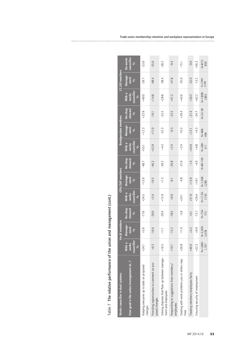| Works councillor in dual systems                                     |                                    | Ver.di members              |                                 |                                           | <b>GPA/DJP</b> members    |                                |                                           | <b>Bondgenoten members</b>  |                                |                                           | CC.00 members               |                                    |
|----------------------------------------------------------------------|------------------------------------|-----------------------------|---------------------------------|-------------------------------------------|---------------------------|--------------------------------|-------------------------------------------|-----------------------------|--------------------------------|-------------------------------------------|-----------------------------|------------------------------------|
| How good is the union/management at?                                 | With a<br>works<br>councillo<br>°% | Manage-<br>ment<br>$\delta$ | do s yob<br>steward<br>$\infty$ | councillor<br>With a<br>works<br>$\delta$ | Manage-<br>ment<br>s<br>S | No shop<br>steward<br>$\delta$ | councillor<br>Nith a<br>works<br>$\delta$ | Manage-<br>ment<br>$\delta$ | No shop<br>steward<br>$\delta$ | councillor<br>With a<br>works<br>$\delta$ | Manage-<br>ment<br>$\delta$ | No works<br>councillor<br>$\delta$ |
| Keeping everyone up to date on proposed<br>changes                   | $+24.1$                            | $+5.6$                      | $-17.6$                         | $+24.5$                                   | $+13.0$                   | $-48.7$                        | $+55.1$                                   | $+12.3$                     | $+23.9$                        | $+40.0$                                   | $-29.7$                     | $-23.0$                            |
| Providing opportunities to comment on pro-<br>posed changes          | $+9.3$                             | $-16.6$                     | $-26.6$                         | $+3.4$                                    | $-16.5$                   | $-46.2$                        | $+52.9$                                   | $+11.0$                     | $-19.1$                        | $+14.8$                                   | $-48.4$                     | $-35.6$                            |
| Solving disputes that flare up between manage-<br>ment and employees | $+16.5$                            | $-111$                      | $-20.4$                         | $+15.9$                                   | $\frac{1}{1}$             | $-39.2$                        | $+4.3$                                    | $-22.3$                     | $-23.5$                        | $+28.8$                                   | $-38.4$                     | $-28.2$                            |
| Responding to suggestions from members/<br>employees                 | $+10.1$                            | $-15.2$                     | $-18.5$                         | $+9.9$                                    | $-9.1$                    | $-26.8$                        | $+2.4$                                    | $-0.3$                      | $-23.5$                        | $+41.2$                                   | $-41.8$                     | $-9.4$                             |
| Dealing with work problems you or others may<br>have                 | $+26.8$                            | $-11.4$                     | -5.9                            | $+24.1$                                   | $-4.8$                    | $-31.9$                        | $+2.4$                                    | $-10.3$                     | $+29.4$                        | $+43.6$                                   | $-35.0$                     | $-15.1$                            |
| Treating members/employees fairly                                    | $+46.0$                            | $+4.2$                      | $+5.1$                          | $+51.9$                                   | $+13.9$                   | $-1.4$                         | $+44.9$                                   | $+12.1$                     | $-21.4$                        | $+50.3$                                   | $-32.0$                     | $-9.0$                             |
| Ensuring security of employment                                      | $+22.3$                            | $+9.9$                      | $-13.7$                         | $+26.4$                                   | $+19.1$                   | $-4.0$                         | $+4.8$                                    | $+4.3$                      | $-24.7$                        | $+62.2$                                   | $-13.2$                     | $+56.3$                            |
|                                                                      | $N=1,689-$<br>1,707                | $N=2,309-$<br>2,478         | $N = 754 -$<br>772              | $N = 1, 139 -$<br>1,150                   | $N=1,268-$<br>1,289       | $N = 89 - 104$                 | $N = 389 -$<br>411                        | $N = 488 -$<br>496          | $N = 52 - 58$                  | $N=1,808-$<br>1,865                       | $N=2,996-$<br>3,308         | $N = 815 -$<br>859                 |

Trade union membership retention and workplace representation in Europe

Table 7 The relative performance of the union and management (cont.) Table 7 The relative performance of the union and management (cont.)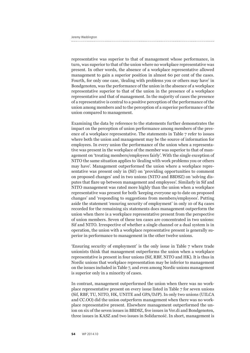representative was superior to that of management whose performance, in turn, was superior to that of the union where no workplace representative was present. In other words, the absence of a workplace representative allowed management to gain a superior position in almost 60 per cent of the cases. Fourth, for only one case, 'dealing with problems you or others may have' in Bondgenoten, was the performance of the union in the absence of a workplace representative superior to that of the union in the presence of a workplace representative and that of management. In the majority of cases the presence of a representative is central to a positive perception of the performance of the union among members and to the perception of a superior performance of the union compared to management.

Examining the data by reference to the statements further demonstrates the impact on the perception of union performance among members of the presence of a workplace representative. The statements in Table 7 refer to issues where both the union and management may be the source of information for employees. In every union the performance of the union when a representative was present in the workplace of the member was superior to that of management on 'treating members/employees fairly'. With the single exception of NITO the same situation applies to 'dealing with work problems you or others may have'. Management outperformed the union where a workplace representative was present only in (Sif) on 'providing opportunities to comment on proposed changes' and in two unions (NITO and BBDSZ) on 'solving disputes that flare up between management and employees'. Similarly in Sif and NITO management was rated more highly than the union when a workplace representative was present for both 'keeping everyone up to date on proposed changes' and 'responding to suggestions from members/employees'. Putting aside the statement 'ensuring security of employment' in only 10 of 84 cases recorded for the remaining six statements does management outperform the union when there is a workplace representative present from the perspective of union members. Seven of these ten cases are concentrated in two unions: Sif and NITO. Irrespective of whether a single channel or a dual system is in operation, the union with a workplace representative present is generally superior in performance to management in the other twelve unions.

'Ensuring security of employment' is the only issue in Table 7 where trade unionists think that management outperforms the union when a workplace representative is present in four unions (Sif, RBF, NITO and HK). It is thus in Nordic unions that workplace representation may be inferior to management on the issues included in Table 7, and even among Nordic unions management is superior only in a minority of cases.

In contrast, management outperformed the union when there was no workplace representative present on every issue listed in Table 7 for seven unions (Sif, RBF, TU, NITO, HK, UNITE and GPA/DJP). In only two unions (UILCA and CC.OO) did the union outperform management when there was no workplace representative present. Elsewhere management outperformed the union on six of the seven issues in BBDSZ, five issues in Ver.di and Bondgenoten, three issues in KASZ and two issues in Solidarność. In short, management is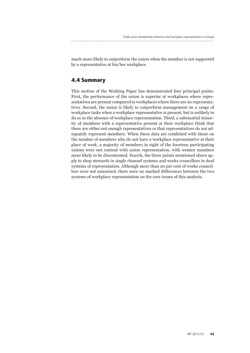much more likely to outperform the union when the member is not supported by a representative at his/her workplace.

## **4.4 Summary**

This section of the Working Paper has demonstrated four principal points. First, the performance of the union is superior at workplaces where representatives are present compared to workplaces where there are no representatives. Second, the union is likely to outperform management on a range of workplace tasks when a workplace representative is present, but is unlikely to do so in the absence of workplace representation. Third, a substantial minority of members with a representative present at their workplace think that there are either not enough representatives or that representatives do not adequately represent members. When these data are combined with those on the number of members who do not have a workplace representative at their place of work, a majority of members in eight of the fourteen participating unions were not content with union representation, with women members more likely to be discontented. Fourth, the three points mentioned above apply to shop stewards in single channel systems and works councillors in dual systems of representation. Although more than 20 per cent of works councillors were not unionised, there were no marked differences between the two systems of workplace representation on the core issues of this analysis.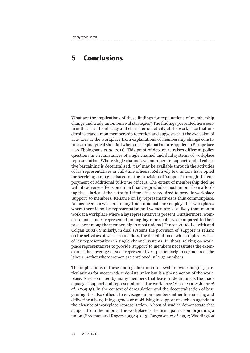# **5 Conclusions**

What are the implications of these findings for explanations of membership change and trade union renewal strategies? The findings presented here confirm that it is the efficacy and character of activity at the workplace that underpins trade union membership retention and suggests that the exclusion of activities at the workplace from explanations of membership change constitutes an analytical shortfall when such explanations are applied to Europe (see also Ebbinghaus *et al*. 2011). This point of departure raises different policy questions in circumstances of single channel and dual systems of workplace representation. Where single channel systems operate 'support' and, if collective bargaining is decentralised, 'pay' may be available through the activities of lay representatives or full-time officers. Relatively few unions have opted for servicing strategies based on the provision of 'support' through the employment of additional full-time officers. The extent of membership decline with its adverse effects on union finances precludes most unions from affording the salaries of the extra full-time officers required to provide workplace 'support' to members. Reliance on lay representatives is thus commonplace. As has been shown here, many trade unionists are employed at workplaces where there is no lay representation and women are less likely than men to work at a workplace where a lay representative is present. Furthermore, women remain under-represented among lay representatives compared to their presence among the membership in most unions (Hansen 2008; Ledwith and Colgan 2002). Similarly, in dual systems the provision of 'support' is reliant on the activities of works councillors, the distribution of which replicates that of lay representatives in single channel systems. In short, relying on workplace representatives to provide 'support' to members necessitates the extension of the coverage of such representatives, particularly in segments of the labour market where women are employed in large numbers.

The implications of these findings for union renewal are wide-ranging, particularly as for most trade unionists unionism is a phenomenon of the workplace. A reason cited by many members that leave trade unions is the inadequacy of support and representation at the workplace (Visser 2002; Jódar *et al*. 2009:15). In the context of deregulation and the decentralisation of bargaining it is also difficult to envisage union members either formulating and delivering a bargaining agenda or mobilising in support of such an agenda in the absence of workplace representation. A host of studies demonstrate that support from the union at the workplace is the principal reason for joining a union (Freeman and Rogers 1999: 40-43; Jørgensen *et al*. 1992; Waddington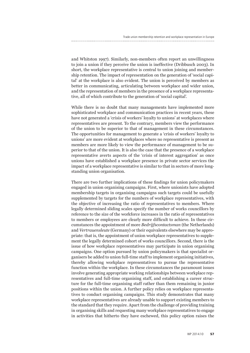and Whitston 1997). Similarly, non-members often report an unwillingness to join a union if they perceive the union is ineffective (Dribbusch 2003). In short, the workplace representative is central to union joining and membership retention. The impact of representation on the generation of 'social capital' at the workplace is also evident. The union is perceived by members as better in communicating, articulating between workplace and wider union, and the representation of members in the presence of a workplace representative, all of which contribute to the generation of 'social capital'.

While there is no doubt that many managements have implemented more sophisticated workplace and communication practices in recent years, these have not generated a 'crisis of workers' loyalty to unions' at workplaces where representatives are present. To the contrary, members view the performance of the union to be superior to that of management in these circumstances. The opportunities for management to generate a 'crisis of workers' loyalty to unions' are more evident at workplaces where no representative is present as members are more likely to view the performance of management to be superior to that of the union. It is also the case that the presence of a workplace representative averts aspects of the 'crisis of interest aggregation' as once unions have established a workplace presence in private sector services the impact of a workplace representative is similar to that in sectors of more longstanding union organisation.

There are two further implications of these findings for union policymakers engaged in union organising campaigns. First, where unionists have adopted membership targets in organising campaigns such targets could be usefully supplemented by targets for the numbers of workplace representatives, with the objective of increasing the ratio of representatives to members. Where legally determined sliding scales specify the number of works councillors by reference to the size of the workforce increases in the ratio of representatives to members or employees are clearly more difficult to achieve. In these circumstances the appointment of more *Bedrijfscontactsman* (the Netherlands) and *Vertrauensleute* (Germany) or their equivalents elsewhere may be appropriate: that is, the appointment of union workplace representatives to supplement the legally determined cohort of works councillors. Second, there is the issue of how workplace representatives may participate in union organising campaigns. One option pursued by union policymakers is that specialist organisers be added to union full-time staff to implement organising initiatives, thereby allowing workplace representatives to pursue the representative function within the workplace. In these circumstances the paramount issues involve generating appropriate working relationships between workplace representatives and full-time organising staff, and establishing a career structure for the full-time organising staff rather than them remaining in junior positions within the union. A further policy relies on workplace representatives to conduct organising campaigns. This study demonstrates that many workplace representatives are already unable to support existing members to the standard that they require. Apart from the challenge of providing training in organising skills and requesting many workplace representatives to engage in activities that hitherto they have eschewed, this policy option raises the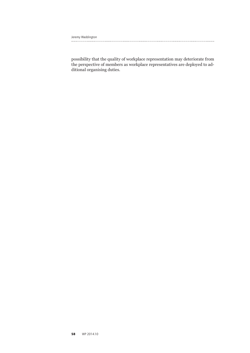Jeremy Waddington 

possibility that the quality of workplace representation may deteriorate from the perspective of members as workplace representatives are deployed to additional organising duties.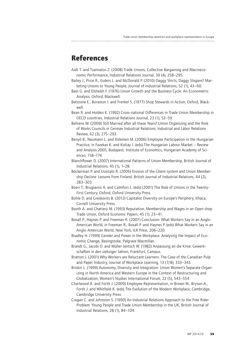# **References**

- Aidt T. and Tzannatos Z. (2008) Trade Unions, Collective Bargaining and Macroeconomic Performance, Industrial Relations Journal, 39 (4), 258–295.
- Bailey J., Price R., Esders L. and McDonald P. (2010) Daggy Shirts, Daggy Slogans? Marketing Unions to Young People, Journal of Industrial Relations, 52 (1), 43–60.
- Bain G. and Elsheikh F. (1976) Union Growth and the Business Cycle: An Econometric Analysis, Oxford, Blackwell.
- Batstone E., Boraston I. and Frenkel S. (1977) Shop Stewards in Action, Oxford, Blackwell.
- Bean R. and Holden K. (1992) Cross-national Differences in Trade Union Membership in OECD countries, Industrial Relations Journal, 23 (1), 52–59.
- Behrens M. (2009) Still Married after all these Years? Union Organizing and the Role of Works Councils in German Industrial Relations, Industrial and Labor Relations Review, 62 (3), 275–293.
- Benyó B., Neumann L. and Kelemen M. (2006) Employee Participation in the Hungarian Practice, in Fazekas K. and Koltay J. (eds) The Hungarian Labour Market – Review and Analysis 2005, Budapest, Institute of Economics, Hungarian Academy of Sciences, 158–174.
- Blanchflower D. (2007) International Patterns of Union Membership, British Journal of Industrial Relations, 45 (1), 1–28.
- Böckerman P. and Uusitalo R. (2006) Erosion of the Ghent system and Union Membership Decline: Lessons from Finland, British Journal of Industrial Relations, 44 (2), 283–303.
- Boeri T., Brugiavini A. and Calmfors L. (eds) (2001) The Role of Unions in the Twenty-First Century, Oxford, Oxford University Press.
- Bohle D. and Greskovits B. (2012) Capitalist Diversity on Europe's Periphery, Ithaca, Cornell University Press.
- Booth A. and Chatterji M. (1993) Reputation, Membership and Wages in an Open shop Trade Union, Oxford Economic Papers, 45 (1), 23–41.
- Boxall P., Haynes P. and Freeman R. (2007) Conclusion: What Workers Say in an Anglo-American World, in Freeman R., Boxall P. and Haynes P. (eds) What Workers Say in an Anglo-American World, New York, ILR Press, 206–220.
- Bradley H. (1999) Gender and Power in the Workplace: Analysing the Impact of Economic Change, Basingstoke, Palgrave Macmillan.
- Brandt G., Jacobi O. and Müller-Jentsch W. (1982) Anpassung an die Krise: Gewerkschaften in den siebziger Jahren, Frankfurt, Campus.
- Bratton J. (2001) Why Workers are Reluctant Learners: The Case of the Canadian Pulp and Paper Industry, Journal of Workplace Learning, 13 (7/8), 333–343.
- Briskin L. (1999) Autonomy, Diversity and Integration: Union Women's Separate Organizing in North America and Western Europe in the Context of Restructuring and Globalization, Women's Studies International Forum, 22 (5), 543–554.
- Charlwood A. and Forth J. (2009) Employee Representation, in Brown W., Bryson A., Forth J. and Whitfield K. (eds) The Evolution of the Modern Workplace, Cambridge, Cambridge University Press.
- Cregan C. and Johnston S. (1990) An Industrial Relations Approach to the Free Rider Problem: Young People and Trade Union Membership in the UK, British Journal of Industrial Relations, 28 (1), 84–104.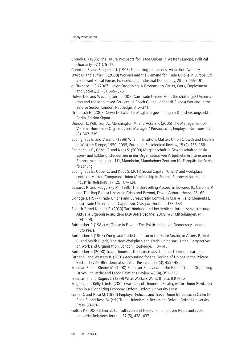| Crouch C. (1986) The Future Prospects for Trade Unions in Western Europe, Political |  |  |  |
|-------------------------------------------------------------------------------------|--|--|--|
| Quarterly, 57 (1), 5-17.                                                            |  |  |  |

Cunnison S. and Stageman J. (1993) Feminizing the Unions, Aldershot, Avebury.

D'Art D. and Turner T. (2008) Workers and the Demand for Trade Unions in Europe: Still a Relevant Social Force?, Economic and Industrial Democracy, 29 (2), 165–191.

de Turberville S. (2007) Union Organising: A Response to Carter, Work, Employment and Society, 21 (3), 565–576.

Dølvik J.-E. and Waddington J. (2005) Can Trade Unions Meet the challenge? Unionisation and the Marketised Services, in Bosch G. and Lehndorff S. (eds) Working in the Service Sector, London, Routledge, 316–341.

Dribbusch H. (2003) Gewerkschaft liche Mitgliedergewinnung im Dienstleistungssektor, Berlin, Edition Sigma.

Dundon T., Wilkinson A., Marchington M. and Ackers P. (2005) The Management of Voice in Non-union Organizations: Managers' Perspectives, Employee Relations, 27 (3), 307–319.

Ebbinghaus B. and Visser J. (1999) When Institutions Matter: Union Growth and Decline in Western Europe, 1950–1995, European Sociological Review, 15 (2), 135–158.

Ebbinghaus B., Göbel C. and Koos S. (2009) Mitgliedschaft in Gewerkschaften. Inklusions- und Exklusionstendenzen in der Organisation von Arbeitnehmerinteressen in Europa, Arbeitspapiere 111, Mannheim, Mannheimer Zentrum für Europäische Sozialforschung.

Ebbinghaus B., Göbel C. and Koos S. (2011) Social Capital, 'Ghent' and workplace contexts Matter: Comparing Union Membership in Europe, European Journal of Industrial Relations, 17 (2), 107–124.

Edwards R. and Podgursky M. (1986) The Unravelling Accord, in Edwards R., Garonna P. and Tödtling F. (eds) Unions in Crisis and Beyond, Dover, Auburn House, 15–60.

Eldridge J. (1977) Trade Unions and Bureaucratic Control, in Clarke T. and Clements L. (eds) Trade Unions under Capitalism, Glasgow, Fontana, 175–183.

Ellguth P. and Kohaut S. (2010) Tarifbindung und betriebliche Interessenvertretung: Aktuelle Ergebnisse aus dem IAB-Betreibspanel 2009, WSI Mitteilungen, (4), 204–209.

Fairbrother P. (1984) All Those in Favour: The Politics of Union Democracy, London, Pluto Press.

Fairbrother P. (1996) Workplace Trade Unionism in the State Sector, in Ackers P., Smith C. and Smith P. (eds) The New Workplace and Trade Unionism: Critical Perspectives on Work and Organisation, London, Routledge, 110–148.

Fairbrother P. (2000) Trade Unions at the Crossroads, London, Thomson Learning.

Farber H. and Western B. (2001) Accounting for the Decline of Unions in the Private Sector, 1973–1998, Journal of Labor Research, 22 (3), 459–485.

Freeman R. and Kleiner M. (1990) Employer Behaviour in the Face of Union Organizing Drives, Industrial and Labor Relations Review, 43 (4), 351–365.

Freeman R. and Rogers J. (1999) What Workers Want, Ithaca, ILR Press.

- Frege C. and Kelly J. (eds) (2004) Varieties of Unionism: Strategies for Union Revitalization in a Globalizing Economy, Oxford, Oxford University Press.
- Gallie D. and Rose M. (1996) Employer Policies and Trade Union Influence, in Gallie D., Penn R. and Rose M. (eds) Trade Unionism in Recession, Oxford, Oxford University Press, 33–64.

Gollan P. (2006) Editorial: Consultation and Non-union Employee Representation, Industrial Relations Journal, 37 (5), 428–437.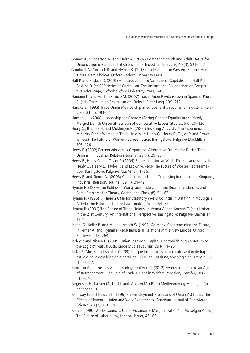Gomez R., Gunderson M. and Meltz N. (2002) Comparing Youth and Adult Desire for Unionization in Canada, British Journal of Industrial Relations, 40 (3), 521–542.

Gumbrell-McCormick R. and Hyman R. (2013) Trade Unions in Western Europe: Hard Times, Hard Choices, Oxford, Oxford University Press.

Hall P. and Soskice D. (2001) An Introduction to Varieties of Capitalism, in Hall P. and Soskice D. (eds) Varieties of Capitalism: The Institutional Foundations of Comparative Advantage, Oxford: Oxford University Press, 1–68.

Hamann K. and Martinez Lucio M. (2007) Trade Union Revitalisation in Spain, in Phelan C. (ed.) Trade Union Revitalisation, Oxford, Peter Lang, 199–212.

Hancké B. (1993) Trade Union Membership in Europe, British Journal of Industrial Relations, 31 (4), 593–614.

Hansen L-L. (2008) Leadership for Change: Making Gender Equality in the Newly Merged Danish Union 3F, Bulletin of Comparative Labour Studies, 67, 120–126.

Healy G., Bradley H. and Mukherjee N. (2004) Inspiring Activists: The Experience of Minority Ethnic Women in Trade Unions, in Healy G., Heery E., Taylor P. and Brown W. (eds) The Future of Worker Representation, Basingstoke, Palgrave MacMillan, 103–126.

Heery E. (2002) Partnership versus Organising: Alternative Futures for British Trade Unionism, Industrial Relations Journal, 33 (1), 20–35.

Heery E., Healy G. and Taylor P. (2004) Representation at Work: Themes and Issues, in Healy G., Heery E., Taylor P. and Brown W. (eds) The Future of Worker Representation, Basingstoke, Palgrave MacMillan, 1–36.

Heery E. and Simms M. (2008) Constraints on Union Organising in the United Kingdom, Industrial Relations Journal, 39 (1), 24–42.

Hyman R. (1979) The Politics of Workplace Trade Unionism: Recent Tendencies and Some Problems for Theory, Capital and Class, (8), 54–67.

Hyman R. (1996) Is There a Case for Statutory Works Councils in Britain?, in McColgan A. (ed.) The Future of Labour Law, London, Pinter, 64–84.

Hyman R. (2004) The Future of Trade Unions, in Verma A. and Kochan T. (eds) Unions in the 21st Century: An International Perspective, Basingstoke: Palgrave MacMillan, 17–29.

Jacobi O., Keller B. and Müller-Jentsch W. (1992) Germany: Codetermining the Future, in Ferner A. and Hyman R. (eds) Industrial Relations in the New Europe, Oxford, Blackwell, 218–269.

Jarley P. and Nissen B. (2005) Unions as Social Capital: Renewal through a Return to the Logic of Mutual Aid?, Labor Studies Journal, 29 (4), 1–26.

Jódar P., Alós R. and Vidal S. (2009) Por qué los afi liados al sindicato se dan de baja. Un estudio de la desafiliación a partir de CCOO de Cataluña, Sociologia del Trabajo, 65 (1), 31–52.

Johnston A., Kornelakis A. and Rodriguez d'Acri C. (2012) Swords of Justice in an Age of Retrenchment? The Role of Trade Unions in Welfare Provision, Transfer, 18 (2), 213–224.

Jørgensen H., Lassen M., Lind J. and Madsen M. (1992) Medlemmer og Meninger, Copenhagen, LO.

Kelloway E. and Newtin T. (1996) Pre-employment Predictors of Union Attitudes: The Effects of Parental Union and Work Experiences, Canadian Journal of Behavioural Science, 28 (2), 113–120.

Kelly J. (1996) Works Councils: Union Advance or Marginalization?, in McColgan A. (ed.) The Future of Labour Law, London, Pinter, 46–63.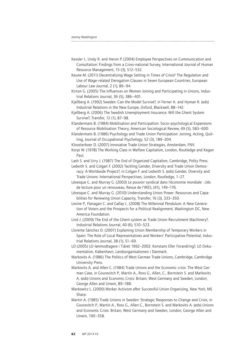- Kessler I., Undy R. and Heron P. (2004) Employee Perspectives on Communication and Consultation: Findings from a Cross-national Survey, International Journal of Human Resource Management, 15 (3), 512–532.
- Keune M. (2011) Decentralizing Wage Setting in Times of Crisis? The Regulation and Use of Wage-related Derogation Clauses in Seven European Countries, European Labour Law Journal, 2 (1), 86–94.
- Kirton G. (2005) The Influences on Women Joining and Participating in Unions, Industrial Relations Journal, 36 (5), 386–401.
- Kjellberg A. (1992) Sweden: Can the Model Survive?, in Ferner A. and Hyman R. (eds) Industrial Relations in the New Europe, Oxford, Blackwell, 88–142.
- Kjellberg A. (2006) The Swedish Unemployment Insurance: Will the Ghent System Survive?, Transfer, 12 (1), 87–98.
- Klandermans B. (1984) Mobilisation and Participation: Socio-psychological Expansions of Resource Mobilisation Theory, American Sociological Review, 49 (5), 583–600.
- Klandermans B. (1986) Psychology and Trade Union Participation: Joining, Acting, Quitting, Journal of Occupational Psychology, 52 (3), 189–204.
- Kloosterboer D. (2007) Innovative Trade Union Strategies, Amsterdam, FNV.
- Korpi W. (1978) The Working Class in Welfare Capitalism, London, Routledge and Kegan Paul.

Lash S. and Urry J. (1987) The End of Organized Capitalism, Cambridge, Polity Press.

- Ledwith S. and Colgan F. (2002) Tackling Gender, Diversity and Trade Union Democracy: A Worldwide Project?, in Colgan F. and Ledwith S. (eds) Gender, Diversity and Trade Unions: International Perspectives, London, Routledge, 1–27.
- Lévesque C. and Murray G. (2003) Le pouvoir syndical dans l'économie mondiale : clés de lecture pour un renouveau, Revue de l'IRES, (41), 149–176.
- Lévesque C. and Murray G. (2010) Understanding Union Power: Resources and Capabilities for Renewing Union Capacity, Transfer, 16 (3), 333–350.
- Levine P., Flanagan C. and Gallay L. (2008) The Millennial Pendulum: A New Generation of Voters and the Prospects for a Political Realignment, Washington DC, New America Foundation.
- Lind J. (2009) The End of the Ghent system as Trade Union Recruitment Machinery?, Industrial Relations Journal, 40 (6), 510–523.
- Llorente Sánchez D. (2007) Explaining Union Membership of Temporary Workers in Spain: The Role of Local Representatives and Workers' Participative Potential, Industrial Relations Journal, 38 (1), 51–69.
- LO (2005) LO-lønmodtagere i Tiåret 1992–2002: Konstans Eller Forandring?, LO Dokumentation, København, Landsorganisationen i Danmark.
- Markovits A. (1986) The Politics of West German Trade Unions, Cambridge, Cambridge University Press.
- Markovits A. and Allen C. (1984) Trade Unions and the Economic crisis: The West German Case, in Gourevitch P., Martin A., Ross G., Allen, C., Bornstein S. and Markovits A. (eds) Unions and Economic Crisis: Britain, West Germany and Sweden, London, George Allen and Unwin, 89–188.
- Markowitz L. (2000) Worker Activism after Successful Union Organizing, New York, ME Sharp.
- Martin A. (1985) Trade Unions in Sweden: Strategic Responses to Change and Crisis, in Gourevitch P., Martin A., Ross G., Allen C., Bornstein S. and Markovits A. (eds) Unions and Economic Crisis: Britain, West Germany and Sweden, London, George Allen and Unwin, 190–358.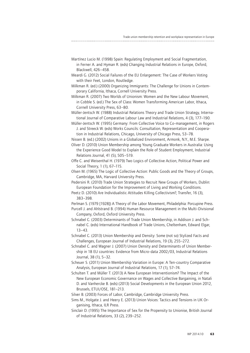- Martínez Lucio M. (1998) Spain: Regulating Employment and Social Fragmentation, in Ferner A. and Hyman R. (eds) Changing Industrial Relations in Europe, Oxford, Blackwell, 426–458.
- Meardi G. (2012) Social Failures of the EU Enlargement: The Case of Workers Voting with their Feet, London, Routledge.
- Milkman R. (ed.) (2000) Organizing Immigrants: The Challenge for Unions in Contemporary California, Ithaca, Cornell University Press.

Milkman R. (2007) Two Worlds of Unionism: Women and the New Labour Movement, in Cobble S. (ed.) The Sex of Class: Women Transforming American Labor, Ithaca, Cornell University Press, 63–80.

Müller-Jentsch W. (1988) Industrial Relations Theory and Trade Union Strategy, International Journal of Comparative Labour Law and Industrial Relations, 4 (3), 177–190.

Müller-Jentsch W. (1995) Germany: From Collective Voice to Co-management, in Rogers J. and Streeck W. (eds) Works Councils: Consultation, Representation and Cooperation in Industrial Relations, Chicago, University of Chicago Press, 53–78.

Nissen B. (ed.) (2002) Unions in a Globalized Environment, Armonk, N.Y., M.E. Sharpe.

Oliver D. (2010) Union Membership among Young Graduate Workers in Australia: Using the Experience Good Model to Explain the Role of Student Employment, Industrial Relations Journal, 41 (5), 505–519.

Offe C. and Weisenthal H. (1979) Two Logics of Collective Action, Political Power and Social Theory, 1 (1), 67–115.

Olsen M. (1965) The Logic of Collective Action: Public Goods and the Theory of Groups, Cambridge, MA, Harvard University Press.

- Pedersini R. (2010) Trade Union Strategies to Recruit New Groups of Workers, Dublin: European Foundation for the Improvement of Living and Working Conditions.
- Peetz D. (2010) Are Individualistic Attitudes Killing Collectivism?, Transfer, 16 (3), 383–398.

Perlman S. (1979 [1928]) A Theory of the Labor Movement, Philadelphia: Porcupine Press.

Purcell J. and Ahlstrand B. (1994) Human Resource Management in the Multi-Divisional Company, Oxford, Oxford University Press.

Schnabel C. (2003) Determinants of Trade Union Membership, in Addison J. and Schnabel C. (eds) International Handbook of Trade Unions, Cheltenham, Edward Elgar, 13–43.

Schnabel C. (2013) Union Membership and Density: Some (not so) Stylized Facts and Challenges, European Journal of Industrial Relations, 19 (3), 255–272.

Schnabel C. and Wagner J. (2007) Union Density and Determinants of Union Membership in 18 EU countries: Evidence from Micro-data 2002/03, Industrial Relations Journal, 38 (1), 5–32.

Scheuer S. (2011) Union Membership Variation in Europe: A Ten-country Comparative Analysis, European Journal of Industrial Relations, 17 (1), 57–74.

Schulten T. and Müller T. (2013) A New European Interventionism? The Impact of the New European Economic Governance on Wages and Collective Bargaining, in Natali D. and Vanhercke B. (eds) (2013) Social Developments in the European Union 2012, Brussels, ETUI/OSE, 181–213.

Silver B. (2003) Forces of Labor, Cambridge, Cambridge University Press.

Sims M., Holgate J. and Heery E. (2013) Union Voices: Tactics and Tensions in UK Organising, Ithaca, ILR Press.

Sinclair D. (1995) The Importance of Sex for the Propensity to Unionise, British Journal of Industrial Relations, 33 (2), 239–252.